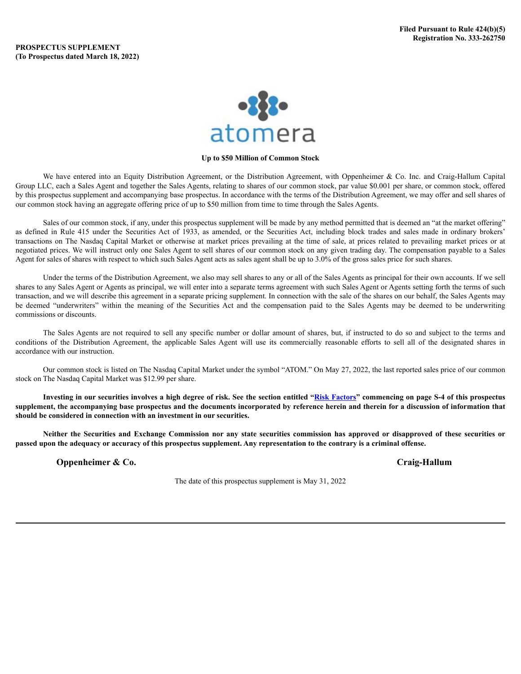

## **Up to \$50 Million of Common Stock**

We have entered into an Equity Distribution Agreement, or the Distribution Agreement, with Oppenheimer & Co. Inc. and Craig-Hallum Capital Group LLC, each a Sales Agent and together the Sales Agents, relating to shares of our common stock, par value \$0.001 per share, or common stock, offered by this prospectus supplement and accompanying base prospectus. In accordance with the terms of the Distribution Agreement, we may offer and sell shares of our common stock having an aggregate offering price of up to \$50 million from time to time through the Sales Agents.

Sales of our common stock, if any, under this prospectus supplement will be made by any method permitted that is deemed an "at the market offering" as defined in Rule 415 under the Securities Act of 1933, as amended, or the Securities Act, including block trades and sales made in ordinary brokers' transactions on The Nasdaq Capital Market or otherwise at market prices prevailing at the time of sale, at prices related to prevailing market prices or at negotiated prices. We will instruct only one Sales Agent to sell shares of our common stock on any given trading day. The compensation payable to a Sales Agent for sales of shares with respect to which such Sales Agent acts as sales agent shall be up to 3.0% of the gross sales price for such shares.

Under the terms of the Distribution Agreement, we also may sell shares to any or all of the Sales Agents as principal for their own accounts. If we sell shares to any Sales Agent or Agents as principal, we will enter into a separate terms agreement with such Sales Agent or Agents setting forth the terms of such transaction, and we will describe this agreement in a separate pricing supplement. In connection with the sale of the shares on our behalf, the Sales Agents may be deemed "underwriters" within the meaning of the Securities Act and the compensation paid to the Sales Agents may be deemed to be underwriting commissions or discounts.

The Sales Agents are not required to sell any specific number or dollar amount of shares, but, if instructed to do so and subject to the terms and conditions of the Distribution Agreement, the applicable Sales Agent will use its commercially reasonable efforts to sell all of the designated shares in accordance with our instruction.

Our common stock is listed on The Nasdaq Capital Market under the symbol "ATOM." On May 27, 2022, the last reported sales price of our common stock on The Nasdaq Capital Market was \$12.99 per share.

Investing in our securities involves a high degree of risk. See the section entitled "Risk [Factors](#page-5-0)" commencing on page S-4 of this prospectus supplement, the accompanying base prospectus and the documents incorporated by reference herein and therein for a discussion of information that **should be considered in connection with an investment in our securities.**

Neither the Securities and Exchange Commission nor any state securities commission has approved or disapproved of these securities or passed upon the adequacy or accuracy of this prospectus supplement. Any representation to the contrary is a criminal offense.

**Oppenheimer & Co. Craig-Hallum**

The date of this prospectus supplement is May 31, 2022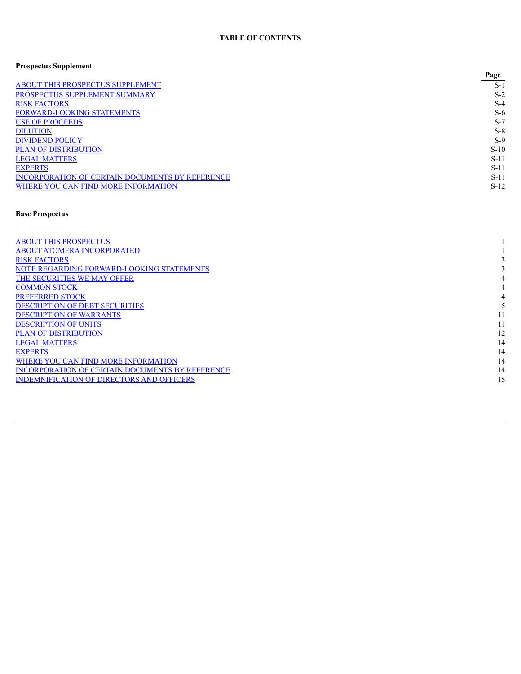# **Prospectus Supplement**

| . .                                             | Page   |
|-------------------------------------------------|--------|
| <b>ABOUT THIS PROSPECTUS SUPPLEMENT</b>         | $S-1$  |
| PROSPECTUS SUPPLEMENT SUMMARY                   | $S-2$  |
| <b>RISK FACTORS</b>                             | $S-4$  |
| <b>FORWARD-LOOKING STATEMENTS</b>               | $S-6$  |
| <b>USE OF PROCEEDS</b>                          | $S-7$  |
| <b>DILUTION</b>                                 | $S-8$  |
| <b>DIVIDEND POLICY</b>                          | $S-9$  |
| <b>PLAN OF DISTRIBUTION</b>                     | $S-10$ |
| <b>LEGAL MATTERS</b>                            | $S-11$ |
| <b>EXPERTS</b>                                  | $S-11$ |
| INCORPORATION OF CERTAIN DOCUMENTS BY REFERENCE | $S-11$ |
| WHERE YOU CAN FIND MORE INFORMATION             | $S-12$ |

# **Base Prospectus**

| <b>ABOUT THIS PROSPECTUS</b>                     |    |
|--------------------------------------------------|----|
| <b>ABOUT ATOMERA INCORPORATED</b>                |    |
| <b>RISK FACTORS</b>                              |    |
| NOTE REGARDING FORWARD-LOOKING STATEMENTS        |    |
| THE SECURITIES WE MAY OFFER                      |    |
| <b>COMMON STOCK</b>                              |    |
| <b>PREFERRED STOCK</b>                           |    |
| <b>DESCRIPTION OF DEBT SECURITIES</b>            |    |
| <b>DESCRIPTION OF WARRANTS</b>                   |    |
| <b>DESCRIPTION OF UNITS</b>                      |    |
| <b>PLAN OF DISTRIBUTION</b>                      | 12 |
| <b>LEGAL MATTERS</b>                             | 14 |
| <b>EXPERTS</b>                                   | 14 |
| WHERE YOU CAN FIND MORE INFORMATION              | 14 |
| INCORPORATION OF CERTAIN DOCUMENTS BY REFERENCE  | 14 |
| <b>INDEMNIFICATION OF DIRECTORS AND OFFICERS</b> | 15 |
|                                                  |    |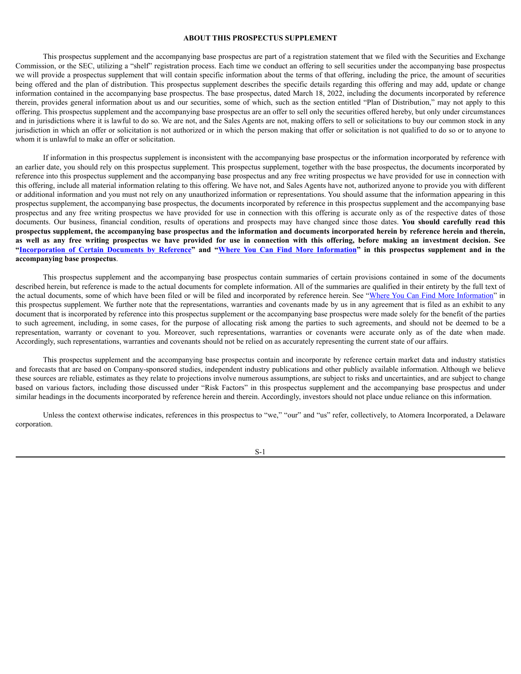### <span id="page-2-0"></span>**ABOUT THIS PROSPECTUS SUPPLEMENT**

This prospectus supplement and the accompanying base prospectus are part of a registration statement that we filed with the Securities and Exchange Commission, or the SEC, utilizing a "shelf" registration process. Each time we conduct an offering to sell securities under the accompanying base prospectus we will provide a prospectus supplement that will contain specific information about the terms of that offering, including the price, the amount of securities being offered and the plan of distribution. This prospectus supplement describes the specific details regarding this offering and may add, update or change information contained in the accompanying base prospectus. The base prospectus, dated March 18, 2022, including the documents incorporated by reference therein, provides general information about us and our securities, some of which, such as the section entitled "Plan of Distribution," may not apply to this offering. This prospectus supplement and the accompanying base prospectus are an offer to sell only the securities offered hereby, but only under circumstances and in jurisdictions where it is lawful to do so. We are not, and the Sales Agents are not, making offers to sell or solicitations to buy our common stock in any jurisdiction in which an offer or solicitation is not authorized or in which the person making that offer or solicitation is not qualified to do so or to anyone to whom it is unlawful to make an offer or solicitation.

If information in this prospectus supplement is inconsistent with the accompanying base prospectus or the information incorporated by reference with an earlier date, you should rely on this prospectus supplement. This prospectus supplement, together with the base prospectus, the documents incorporated by reference into this prospectus supplement and the accompanying base prospectus and any free writing prospectus we have provided for use in connection with this offering, include all material information relating to this offering. We have not, and Sales Agents have not, authorized anyone to provide you with different or additional information and you must not rely on any unauthorized information or representations. You should assume that the information appearing in this prospectus supplement, the accompanying base prospectus, the documents incorporated by reference in this prospectus supplement and the accompanying base prospectus and any free writing prospectus we have provided for use in connection with this offering is accurate only as of the respective dates of those documents. Our business, financial condition, results of operations and prospects may have changed since those dates. **You should carefully read this** prospectus supplement, the accompanying base prospectus and the information and documents incorporated herein by reference herein and therein, as well as any free writing prospectus we have provided for use in connection with this offering, before making an investment decision. See "[Incorporation](#page-12-2) of Certain Documents by Reference" and "Where You Can Find More [Information](#page-13-0)" in this prospectus supplement and in the **accompanying base prospectus**.

This prospectus supplement and the accompanying base prospectus contain summaries of certain provisions contained in some of the documents described herein, but reference is made to the actual documents for complete information. All of the summaries are qualified in their entirety by the full text of the actual documents, some of which have been filed or will be filed and incorporated by reference herein. See "Where You Can Find More [Information](#page-13-0)" in this prospectus supplement. We further note that the representations, warranties and covenants made by us in any agreement that is filed as an exhibit to any document that is incorporated by reference into this prospectus supplement or the accompanying base prospectus were made solely for the benefit of the parties to such agreement, including, in some cases, for the purpose of allocating risk among the parties to such agreements, and should not be deemed to be a representation, warranty or covenant to you. Moreover, such representations, warranties or covenants were accurate only as of the date when made. Accordingly, such representations, warranties and covenants should not be relied on as accurately representing the current state of our affairs.

This prospectus supplement and the accompanying base prospectus contain and incorporate by reference certain market data and industry statistics and forecasts that are based on Company-sponsored studies, independent industry publications and other publicly available information. Although we believe these sources are reliable, estimates as they relate to projections involve numerous assumptions, are subject to risks and uncertainties, and are subject to change based on various factors, including those discussed under "Risk Factors" in this prospectus supplement and the accompanying base prospectus and under similar headings in the documents incorporated by reference herein and therein. Accordingly, investors should not place undue reliance on this information.

Unless the context otherwise indicates, references in this prospectus to "we," "our" and "us" refer, collectively, to Atomera Incorporated, a Delaware corporation.

S-1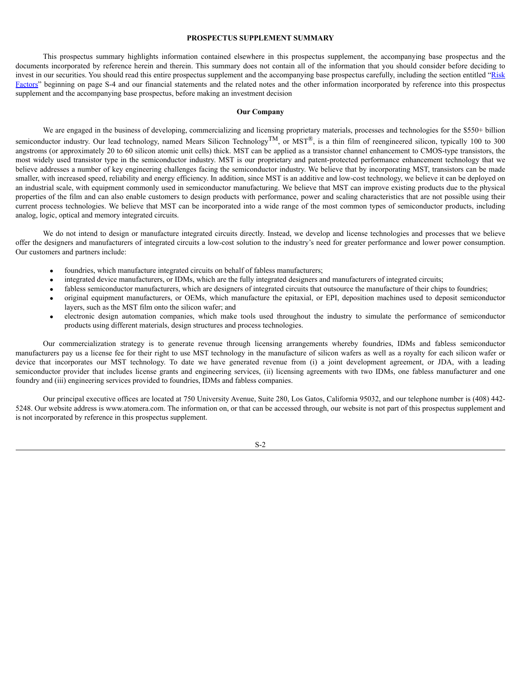### <span id="page-3-0"></span>**PROSPECTUS SUPPLEMENT SUMMARY**

This prospectus summary highlights information contained elsewhere in this prospectus supplement, the accompanying base prospectus and the documents incorporated by reference herein and therein. This summary does not contain all of the information that you should consider before deciding to invest in our securities. You should read this entire prospectus supplement and the accompanying base prospectus carefully, including the section entitled "[Risk](#page-5-0) [Factors](#page-5-0)" beginning on page S-4 and our financial statements and the related notes and the other information incorporated by reference into this prospectus supplement and the accompanying base prospectus, before making an investment decision

### **Our Company**

We are engaged in the business of developing, commercializing and licensing proprietary materials, processes and technologies for the \$550+ billion semiconductor industry. Our lead technology, named Mears Silicon Technology<sup>TM</sup>, or MST<sup>®</sup>, is a thin film of reengineered silicon, typically 100 to 300 angstroms (or approximately 20 to 60 silicon atomic unit cells) thick. MST can be applied as a transistor channel enhancement to CMOS-type transistors, the most widely used transistor type in the semiconductor industry. MST is our proprietary and patent-protected performance enhancement technology that we believe addresses a number of key engineering challenges facing the semiconductor industry. We believe that by incorporating MST, transistors can be made smaller, with increased speed, reliability and energy efficiency. In addition, since MST is an additive and low-cost technology, we believe it can be deployed on an industrial scale, with equipment commonly used in semiconductor manufacturing. We believe that MST can improve existing products due to the physical properties of the film and can also enable customers to design products with performance, power and scaling characteristics that are not possible using their current process technologies. We believe that MST can be incorporated into a wide range of the most common types of semiconductor products, including analog, logic, optical and memory integrated circuits.

We do not intend to design or manufacture integrated circuits directly. Instead, we develop and license technologies and processes that we believe offer the designers and manufacturers of integrated circuits a low-cost solution to the industry's need for greater performance and lower power consumption. Our customers and partners include:

- foundries, which manufacture integrated circuits on behalf of fabless manufacturers;
- integrated device manufacturers, or IDMs, which are the fully integrated designers and manufacturers of integrated circuits;
- fabless semiconductor manufacturers, which are designers of integrated circuits that outsource the manufacture of their chips to foundries;
- · original equipment manufacturers, or OEMs, which manufacture the epitaxial, or EPI, deposition machines used to deposit semiconductor layers, such as the MST film onto the silicon wafer; and
- · electronic design automation companies, which make tools used throughout the industry to simulate the performance of semiconductor products using different materials, design structures and process technologies.

Our commercialization strategy is to generate revenue through licensing arrangements whereby foundries, IDMs and fabless semiconductor manufacturers pay us a license fee for their right to use MST technology in the manufacture of silicon wafers as well as a royalty for each silicon wafer or device that incorporates our MST technology. To date we have generated revenue from (i) a joint development agreement, or JDA, with a leading semiconductor provider that includes license grants and engineering services, (ii) licensing agreements with two IDMs, one fabless manufacturer and one foundry and (iii) engineering services provided to foundries, IDMs and fabless companies.

Our principal executive offices are located at 750 University Avenue, Suite 280, Los Gatos, California 95032, and our telephone number is (408) 442- 5248. Our website address is www.atomera.com. The information on, or that can be accessed through, our website is not part of this prospectus supplement and is not incorporated by reference in this prospectus supplement.

S-2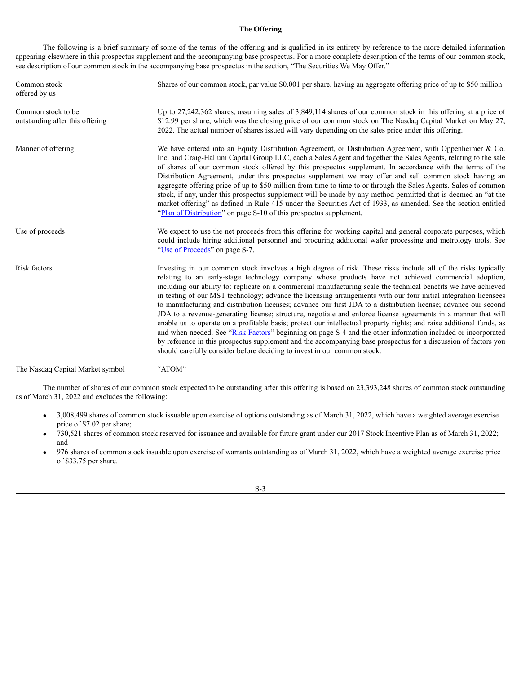## **The Offering**

The following is a brief summary of some of the terms of the offering and is qualified in its entirety by reference to the more detailed information appearing elsewhere in this prospectus supplement and the accompanying base prospectus. For a more complete description of the terms of our common stock, see description of our common stock in the accompanying base prospectus in the section, "The Securities We May Offer."

| Common stock<br>offered by us                         | Shares of our common stock, par value \$0.001 per share, having an aggregate offering price of up to \$50 million.                                                                                                                                                                                                                                                                                                                                                                                                                                                                                                                                                                                                                                                                                                                                                                                                                                                                                                                                                                                                                     |
|-------------------------------------------------------|----------------------------------------------------------------------------------------------------------------------------------------------------------------------------------------------------------------------------------------------------------------------------------------------------------------------------------------------------------------------------------------------------------------------------------------------------------------------------------------------------------------------------------------------------------------------------------------------------------------------------------------------------------------------------------------------------------------------------------------------------------------------------------------------------------------------------------------------------------------------------------------------------------------------------------------------------------------------------------------------------------------------------------------------------------------------------------------------------------------------------------------|
| Common stock to be<br>outstanding after this offering | Up to 27,242,362 shares, assuming sales of 3,849,114 shares of our common stock in this offering at a price of<br>\$12.99 per share, which was the closing price of our common stock on The Nasdaq Capital Market on May 27,<br>2022. The actual number of shares issued will vary depending on the sales price under this offering.                                                                                                                                                                                                                                                                                                                                                                                                                                                                                                                                                                                                                                                                                                                                                                                                   |
| Manner of offering                                    | We have entered into an Equity Distribution Agreement, or Distribution Agreement, with Oppenheimer & Co.<br>Inc. and Craig-Hallum Capital Group LLC, each a Sales Agent and together the Sales Agents, relating to the sale<br>of shares of our common stock offered by this prospectus supplement. In accordance with the terms of the<br>Distribution Agreement, under this prospectus supplement we may offer and sell common stock having an<br>aggregate offering price of up to \$50 million from time to time to or through the Sales Agents. Sales of common<br>stock, if any, under this prospectus supplement will be made by any method permitted that is deemed an "at the<br>market offering" as defined in Rule 415 under the Securities Act of 1933, as amended. See the section entitled<br>"Plan of Distribution" on page S-10 of this prospectus supplement.                                                                                                                                                                                                                                                         |
| Use of proceeds                                       | We expect to use the net proceeds from this offering for working capital and general corporate purposes, which<br>could include hiring additional personnel and procuring additional wafer processing and metrology tools. See<br>"Use of Proceeds" on page S-7.                                                                                                                                                                                                                                                                                                                                                                                                                                                                                                                                                                                                                                                                                                                                                                                                                                                                       |
| Risk factors                                          | Investing in our common stock involves a high degree of risk. These risks include all of the risks typically<br>relating to an early-stage technology company whose products have not achieved commercial adoption,<br>including our ability to: replicate on a commercial manufacturing scale the technical benefits we have achieved<br>in testing of our MST technology; advance the licensing arrangements with our four initial integration licensees<br>to manufacturing and distribution licenses; advance our first JDA to a distribution license; advance our second<br>JDA to a revenue-generating license; structure, negotiate and enforce license agreements in a manner that will<br>enable us to operate on a profitable basis; protect our intellectual property rights; and raise additional funds, as<br>and when needed. See "Risk Factors" beginning on page S-4 and the other information included or incorporated<br>by reference in this prospectus supplement and the accompanying base prospectus for a discussion of factors you<br>should carefully consider before deciding to invest in our common stock. |
|                                                       |                                                                                                                                                                                                                                                                                                                                                                                                                                                                                                                                                                                                                                                                                                                                                                                                                                                                                                                                                                                                                                                                                                                                        |

The Nasdaq Capital Market symbol "ATOM"

The number of shares of our common stock expected to be outstanding after this offering is based on 23,393,248 shares of common stock outstanding as of March 31, 2022 and excludes the following:

- · 3,008,499 shares of common stock issuable upon exercise of options outstanding as of March 31, 2022, which have a weighted average exercise price of \$7.02 per share;
- · 730,521 shares of common stock reserved for issuance and available for future grant under our 2017 Stock Incentive Plan as of March 31, 2022; and
- · 976 shares of common stock issuable upon exercise of warrants outstanding as of March 31, 2022, which have a weighted average exercise price of \$33.75 per share.

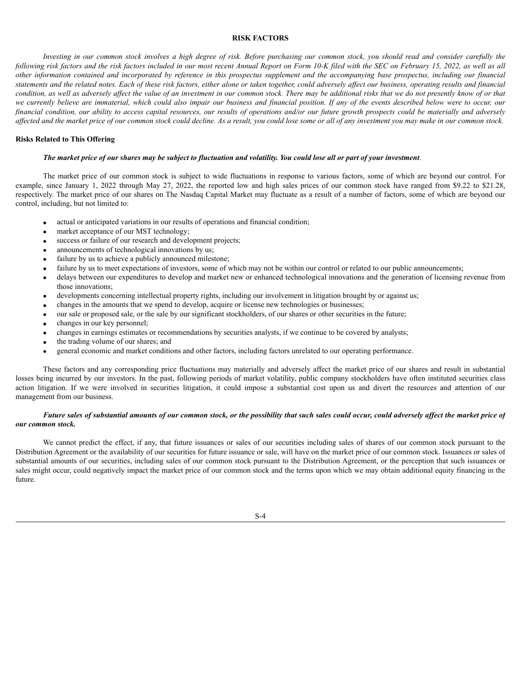### <span id="page-5-0"></span>**RISK FACTORS**

Investing in our common stock involves a high degree of risk. Before purchasing our common stock, you should read and consider carefully the following risk factors and the risk factors included in our most recent Annual Report on Form 10-K filed with the SEC on February 15, 2022, as well as all other information contained and incorporated by reference in this prospectus supplement and the accompanying base prospectus, including our financial statements and the related notes. Each of these risk factors, either alone or taken together, could adversely affect our business, operating results and financial condition, as well as adversely affect the value of an investment in our common stock. There may be additional risks that we do not presently know of or that we currently believe are immaterial, which could also impair our business and financial position. If any of the events described below were to occur, our financial condition, our ability to access capital resources, our results of operations and/or our future growth prospects could be materially and adversely affected and the market price of our common stock could decline. As a result, you could lose some or all of any investment you may make in our common stock.

### **Risks Related to This Offering**

### The market price of our shares may be subject to fluctuation and volatility. You could lose all or part of your investment.

The market price of our common stock is subject to wide fluctuations in response to various factors, some of which are beyond our control. For example, since January 1, 2022 through May 27, 2022, the reported low and high sales prices of our common stock have ranged from \$9.22 to \$21.28, respectively. The market price of our shares on The Nasdaq Capital Market may fluctuate as a result of a number of factors, some of which are beyond our control, including, but not limited to:

- · actual or anticipated variations in our results of operations and financial condition;
- market acceptance of our MST technology;
- success or failure of our research and development projects;
- announcements of technological innovations by us;
- failure by us to achieve a publicly announced milestone;
- failure by us to meet expectations of investors, some of which may not be within our control or related to our public announcements;
- delays between our expenditures to develop and market new or enhanced technological innovations and the generation of licensing revenue from those innovations;
- developments concerning intellectual property rights, including our involvement in litigation brought by or against us;
- · changes in the amounts that we spend to develop, acquire or license new technologies or businesses;
- our sale or proposed sale, or the sale by our significant stockholders, of our shares or other securities in the future;
- changes in our key personnel;
- · changes in earnings estimates or recommendations by securities analysts, if we continue to be covered by analysts;
- the trading volume of our shares; and
- · general economic and market conditions and other factors, including factors unrelated to our operating performance.

These factors and any corresponding price fluctuations may materially and adversely affect the market price of our shares and result in substantial losses being incurred by our investors. In the past, following periods of market volatility, public company stockholders have often instituted securities class action litigation. If we were involved in securities litigation, it could impose a substantial cost upon us and divert the resources and attention of our management from our business.

## Future sales of substantial amounts of our common stock, or the possibility that such sales could occur, could adversely affect the market price of *our common stock.*

We cannot predict the effect, if any, that future issuances or sales of our securities including sales of shares of our common stock pursuant to the Distribution Agreement or the availability of our securities for future issuance or sale, will have on the market price of our common stock. Issuances or sales of substantial amounts of our securities, including sales of our common stock pursuant to the Distribution Agreement, or the perception that such issuances or sales might occur, could negatively impact the market price of our common stock and the terms upon which we may obtain additional equity financing in the future.

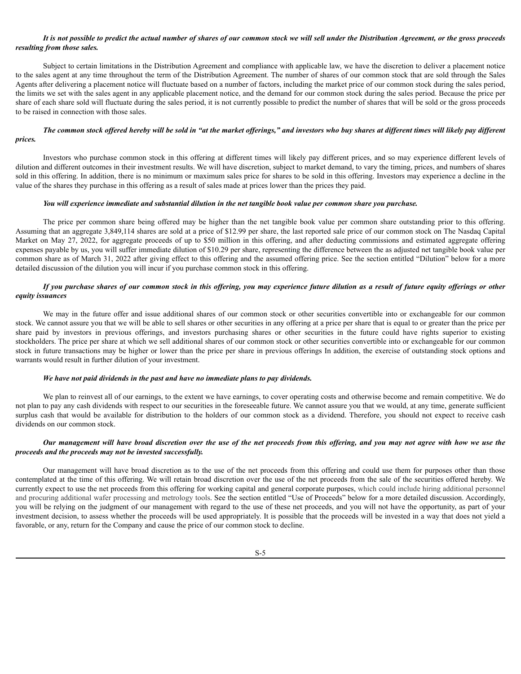## It is not possible to predict the actual number of shares of our common stock we will sell under the Distribution Agreement, or the gross proceeds *resulting from those sales.*

Subject to certain limitations in the Distribution Agreement and compliance with applicable law, we have the discretion to deliver a placement notice to the sales agent at any time throughout the term of the Distribution Agreement. The number of shares of our common stock that are sold through the Sales Agents after delivering a placement notice will fluctuate based on a number of factors, including the market price of our common stock during the sales period, the limits we set with the sales agent in any applicable placement notice, and the demand for our common stock during the sales period. Because the price per share of each share sold will fluctuate during the sales period, it is not currently possible to predict the number of shares that will be sold or the gross proceeds to be raised in connection with those sales.

## The common stock offered hereby will be sold in "at the market offerings," and investors who buy shares at different times will likely pay different *prices.*

Investors who purchase common stock in this offering at different times will likely pay different prices, and so may experience different levels of dilution and different outcomes in their investment results. We will have discretion, subject to market demand, to vary the timing, prices, and numbers of shares sold in this offering. In addition, there is no minimum or maximum sales price for shares to be sold in this offering. Investors may experience a decline in the value of the shares they purchase in this offering as a result of sales made at prices lower than the prices they paid.

#### You will experience immediate and substantial dilution in the net tangible book value per common share you purchase.

The price per common share being offered may be higher than the net tangible book value per common share outstanding prior to this offering. Assuming that an aggregate 3,849,114 shares are sold at a price of \$12.99 per share, the last reported sale price of our common stock on The Nasdaq Capital Market on May 27, 2022, for aggregate proceeds of up to \$50 million in this offering, and after deducting commissions and estimated aggregate offering expenses payable by us, you will suffer immediate dilution of \$10.29 per share, representing the difference between the as adjusted net tangible book value per common share as of March 31, 2022 after giving effect to this offering and the assumed offering price. See the section entitled "Dilution" below for a more detailed discussion of the dilution you will incur if you purchase common stock in this offering.

# If you purchase shares of our common stock in this offering, you may experience future dilution as a result of future equity offerings or other *equity issuances*

We may in the future offer and issue additional shares of our common stock or other securities convertible into or exchangeable for our common stock. We cannot assure you that we will be able to sell shares or other securities in any offering at a price per share that is equal to or greater than the price per share paid by investors in previous offerings, and investors purchasing shares or other securities in the future could have rights superior to existing stockholders. The price per share at which we sell additional shares of our common stock or other securities convertible into or exchangeable for our common stock in future transactions may be higher or lower than the price per share in previous offerings In addition, the exercise of outstanding stock options and warrants would result in further dilution of your investment.

### *We have not paid dividends in the past and have no immediate plans to pay dividends.*

We plan to reinvest all of our earnings, to the extent we have earnings, to cover operating costs and otherwise become and remain competitive. We do not plan to pay any cash dividends with respect to our securities in the foreseeable future. We cannot assure you that we would, at any time, generate sufficient surplus cash that would be available for distribution to the holders of our common stock as a dividend. Therefore, you should not expect to receive cash dividends on our common stock.

# Our management will have broad discretion over the use of the net proceeds from this offering, and you may not agree with how we use the *proceeds and the proceeds may not be invested successfully.*

Our management will have broad discretion as to the use of the net proceeds from this offering and could use them for purposes other than those contemplated at the time of this offering. We will retain broad discretion over the use of the net proceeds from the sale of the securities offered hereby. We currently expect to use the net proceeds from this offering for working capital and general corporate purposes, which could include hiring additional personnel and procuring additional wafer processing and metrology tools. See the section entitled "Use of Proceeds" below for a more detailed discussion. Accordingly, you will be relying on the judgment of our management with regard to the use of these net proceeds, and you will not have the opportunity, as part of your investment decision, to assess whether the proceeds will be used appropriately. It is possible that the proceeds will be invested in a way that does not yield a favorable, or any, return for the Company and cause the price of our common stock to decline.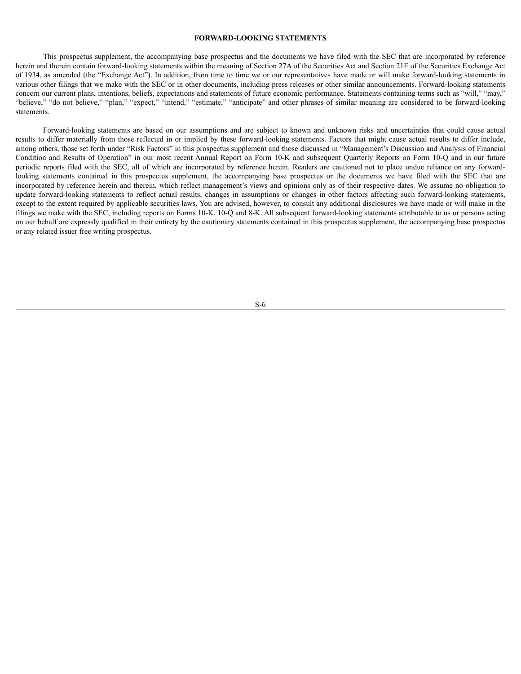### <span id="page-7-0"></span>**FORWARD-LOOKING STATEMENTS**

This prospectus supplement, the accompanying base prospectus and the documents we have filed with the SEC that are incorporated by reference herein and therein contain forward-looking statements within the meaning of Section 27A of the Securities Act and Section 21E of the Securities Exchange Act of 1934, as amended (the "Exchange Act"). In addition, from time to time we or our representatives have made or will make forward-looking statements in various other filings that we make with the SEC or in other documents, including press releases or other similar announcements. Forward-looking statements concern our current plans, intentions, beliefs, expectations and statements of future economic performance. Statements containing terms such as "will," "may," "believe," "do not believe," "plan," "expect," "intend," "estimate," "anticipate" and other phrases of similar meaning are considered to be forward-looking statements.

Forward-looking statements are based on our assumptions and are subject to known and unknown risks and uncertainties that could cause actual results to differ materially from those reflected in or implied by these forward-looking statements. Factors that might cause actual results to differ include, among others, those set forth under "Risk Factors" in this prospectus supplement and those discussed in "Management's Discussion and Analysis of Financial Condition and Results of Operation" in our most recent Annual Report on Form 10-K and subsequent Quarterly Reports on Form 10-Q and in our future periodic reports filed with the SEC, all of which are incorporated by reference herein. Readers are cautioned not to place undue reliance on any forwardlooking statements contained in this prospectus supplement, the accompanying base prospectus or the documents we have filed with the SEC that are incorporated by reference herein and therein, which reflect management's views and opinions only as of their respective dates. We assume no obligation to update forward-looking statements to reflect actual results, changes in assumptions or changes in other factors affecting such forward-looking statements, except to the extent required by applicable securities laws. You are advised, however, to consult any additional disclosures we have made or will make in the filings we make with the SEC, including reports on Forms 10-K, 10-Q and 8-K. All subsequent forward-looking statements attributable to us or persons acting on our behalf are expressly qualified in their entirety by the cautionary statements contained in this prospectus supplement, the accompanying base prospectus or any related issuer free writing prospectus.

S-6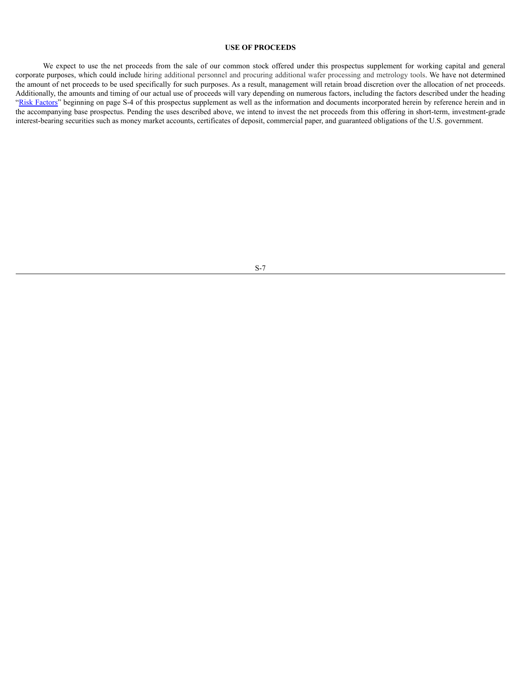### <span id="page-8-0"></span>**USE OF PROCEEDS**

We expect to use the net proceeds from the sale of our common stock offered under this prospectus supplement for working capital and general corporate purposes, which could include hiring additional personnel and procuring additional wafer processing and metrology tools. We have not determined the amount of net proceeds to be used specifically for such purposes. As a result, management will retain broad discretion over the allocation of net proceeds. Additionally, the amounts and timing of our actual use of proceeds will vary depending on numerous factors, including the factors described under the heading "Risk [Factors"](#page-5-0) beginning on page S-4 of this prospectus supplement as well as the information and documents incorporated herein by reference herein and in the accompanying base prospectus. Pending the uses described above, we intend to invest the net proceeds from this offering in short-term, investment-grade interest-bearing securities such as money market accounts, certificates of deposit, commercial paper, and guaranteed obligations of the U.S. government.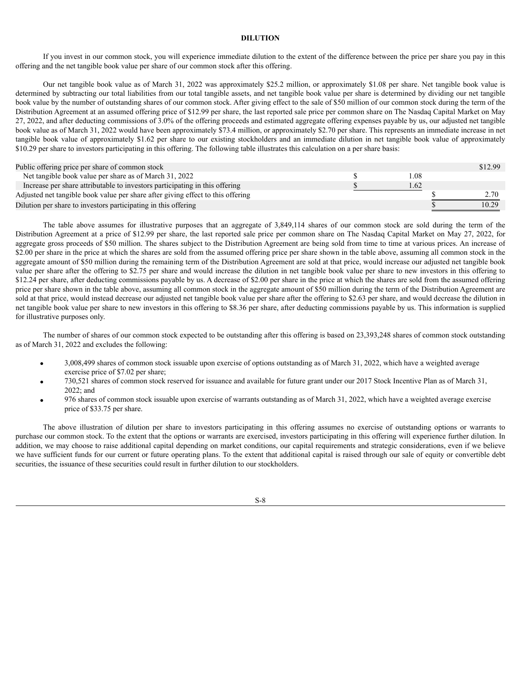## <span id="page-9-0"></span>**DILUTION**

If you invest in our common stock, you will experience immediate dilution to the extent of the difference between the price per share you pay in this offering and the net tangible book value per share of our common stock after this offering.

Our net tangible book value as of March 31, 2022 was approximately \$25.2 million, or approximately \$1.08 per share. Net tangible book value is determined by subtracting our total liabilities from our total tangible assets, and net tangible book value per share is determined by dividing our net tangible book value by the number of outstanding shares of our common stock. After giving effect to the sale of \$50 million of our common stock during the term of the Distribution Agreement at an assumed offering price of \$12.99 per share, the last reported sale price per common share on The Nasdaq Capital Market on May 27, 2022, and after deducting commissions of 3.0% of the offering proceeds and estimated aggregate offering expenses payable by us, our adjusted net tangible book value as of March 31, 2022 would have been approximately \$73.4 million, or approximately \$2.70 per share. This represents an immediate increase in net tangible book value of approximately \$1.62 per share to our existing stockholders and an immediate dilution in net tangible book value of approximately \$10.29 per share to investors participating in this offering. The following table illustrates this calculation on a per share basis:

| Public offering price per share of common stock                                 |     | \$12.99 |
|---------------------------------------------------------------------------------|-----|---------|
| Net tangible book value per share as of March 31, 2022                          | .08 |         |
| Increase per share attributable to investors participating in this offering     | .62 |         |
| Adjusted net tangible book value per share after giving effect to this offering |     |         |
| Dilution per share to investors participating in this offering                  |     | 10.29   |

The table above assumes for illustrative purposes that an aggregate of 3,849,114 shares of our common stock are sold during the term of the Distribution Agreement at a price of \$12.99 per share, the last reported sale price per common share on The Nasdaq Capital Market on May 27, 2022, for aggregate gross proceeds of \$50 million. The shares subject to the Distribution Agreement are being sold from time to time at various prices. An increase of \$2.00 per share in the price at which the shares are sold from the assumed offering price per share shown in the table above, assuming all common stock in the aggregate amount of \$50 million during the remaining term of the Distribution Agreement are sold at that price, would increase our adjusted net tangible book value per share after the offering to \$2.75 per share and would increase the dilution in net tangible book value per share to new investors in this offering to \$12.24 per share, after deducting commissions payable by us. A decrease of \$2.00 per share in the price at which the shares are sold from the assumed offering price per share shown in the table above, assuming all common stock in the aggregate amount of \$50 million during the term of the Distribution Agreement are sold at that price, would instead decrease our adjusted net tangible book value per share after the offering to \$2.63 per share, and would decrease the dilution in net tangible book value per share to new investors in this offering to \$8.36 per share, after deducting commissions payable by us. This information is supplied for illustrative purposes only.

The number of shares of our common stock expected to be outstanding after this offering is based on 23,393,248 shares of common stock outstanding as of March 31, 2022 and excludes the following:

- · 3,008,499 shares of common stock issuable upon exercise of options outstanding as of March 31, 2022, which have a weighted average exercise price of \$7.02 per share;
- · 730,521 shares of common stock reserved for issuance and available for future grant under our 2017 Stock Incentive Plan as of March 31, 2022; and
- · 976 shares of common stock issuable upon exercise of warrants outstanding as of March 31, 2022, which have a weighted average exercise price of \$33.75 per share.

The above illustration of dilution per share to investors participating in this offering assumes no exercise of outstanding options or warrants to purchase our common stock. To the extent that the options or warrants are exercised, investors participating in this offering will experience further dilution. In addition, we may choose to raise additional capital depending on market conditions, our capital requirements and strategic considerations, even if we believe we have sufficient funds for our current or future operating plans. To the extent that additional capital is raised through our sale of equity or convertible debt securities, the issuance of these securities could result in further dilution to our stockholders.

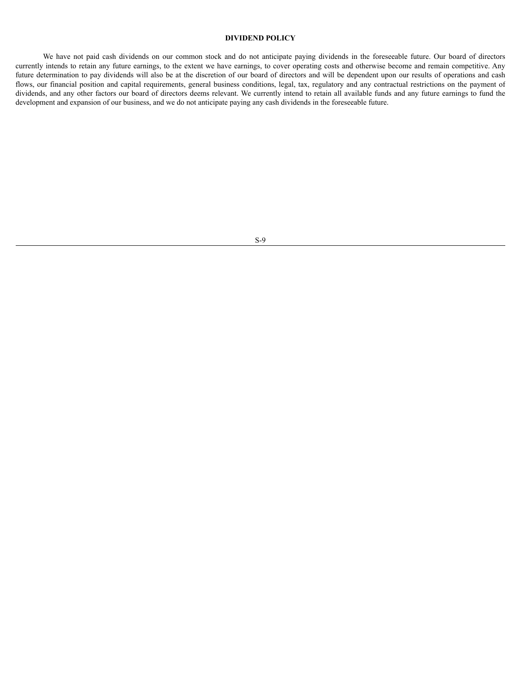# <span id="page-10-0"></span>**DIVIDEND POLICY**

We have not paid cash dividends on our common stock and do not anticipate paying dividends in the foreseeable future. Our board of directors currently intends to retain any future earnings, to the extent we have earnings, to cover operating costs and otherwise become and remain competitive. Any future determination to pay dividends will also be at the discretion of our board of directors and will be dependent upon our results of operations and cash flows, our financial position and capital requirements, general business conditions, legal, tax, regulatory and any contractual restrictions on the payment of dividends, and any other factors our board of directors deems relevant. We currently intend to retain all available funds and any future earnings to fund the development and expansion of our business, and we do not anticipate paying any cash dividends in the foreseeable future.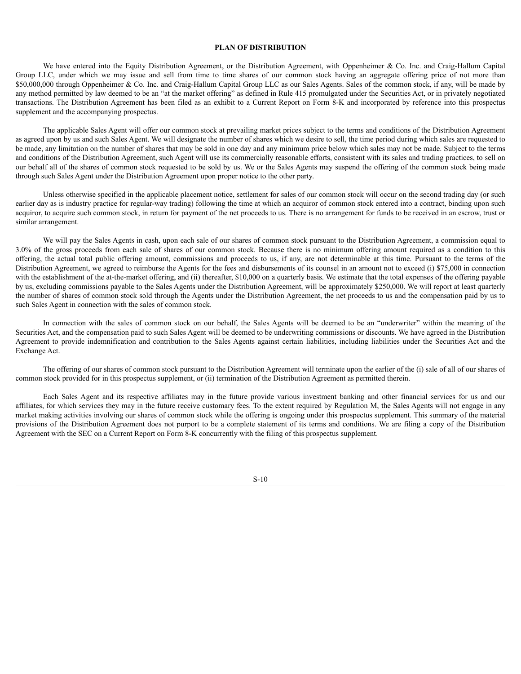### <span id="page-11-0"></span>**PLAN OF DISTRIBUTION**

We have entered into the Equity Distribution Agreement, or the Distribution Agreement, with Oppenheimer & Co. Inc. and Craig-Hallum Capital Group LLC, under which we may issue and sell from time to time shares of our common stock having an aggregate offering price of not more than \$50,000,000 through Oppenheimer & Co. Inc. and Craig-Hallum Capital Group LLC as our Sales Agents. Sales of the common stock, if any, will be made by any method permitted by law deemed to be an "at the market offering" as defined in Rule 415 promulgated under the Securities Act, or in privately negotiated transactions. The Distribution Agreement has been filed as an exhibit to a Current Report on Form 8-K and incorporated by reference into this prospectus supplement and the accompanying prospectus.

The applicable Sales Agent will offer our common stock at prevailing market prices subject to the terms and conditions of the Distribution Agreement as agreed upon by us and such Sales Agent. We will designate the number of shares which we desire to sell, the time period during which sales are requested to be made, any limitation on the number of shares that may be sold in one day and any minimum price below which sales may not be made. Subject to the terms and conditions of the Distribution Agreement, such Agent will use its commercially reasonable efforts, consistent with its sales and trading practices, to sell on our behalf all of the shares of common stock requested to be sold by us. We or the Sales Agents may suspend the offering of the common stock being made through such Sales Agent under the Distribution Agreement upon proper notice to the other party.

Unless otherwise specified in the applicable placement notice, settlement for sales of our common stock will occur on the second trading day (or such earlier day as is industry practice for regular-way trading) following the time at which an acquiror of common stock entered into a contract, binding upon such acquiror, to acquire such common stock, in return for payment of the net proceeds to us. There is no arrangement for funds to be received in an escrow, trust or similar arrangement.

We will pay the Sales Agents in cash, upon each sale of our shares of common stock pursuant to the Distribution Agreement, a commission equal to 3.0% of the gross proceeds from each sale of shares of our common stock. Because there is no minimum offering amount required as a condition to this offering, the actual total public offering amount, commissions and proceeds to us, if any, are not determinable at this time. Pursuant to the terms of the Distribution Agreement, we agreed to reimburse the Agents for the fees and disbursements of its counsel in an amount not to exceed (i) \$75,000 in connection with the establishment of the at-the-market offering, and (ii) thereafter, \$10,000 on a quarterly basis. We estimate that the total expenses of the offering payable by us, excluding commissions payable to the Sales Agents under the Distribution Agreement, will be approximately \$250,000. We will report at least quarterly the number of shares of common stock sold through the Agents under the Distribution Agreement, the net proceeds to us and the compensation paid by us to such Sales Agent in connection with the sales of common stock.

In connection with the sales of common stock on our behalf, the Sales Agents will be deemed to be an "underwriter" within the meaning of the Securities Act, and the compensation paid to such Sales Agent will be deemed to be underwriting commissions or discounts. We have agreed in the Distribution Agreement to provide indemnification and contribution to the Sales Agents against certain liabilities, including liabilities under the Securities Act and the Exchange Act.

The offering of our shares of common stock pursuant to the Distribution Agreement will terminate upon the earlier of the (i) sale of all of our shares of common stock provided for in this prospectus supplement, or (ii) termination of the Distribution Agreement as permitted therein.

Each Sales Agent and its respective affiliates may in the future provide various investment banking and other financial services for us and our affiliates, for which services they may in the future receive customary fees. To the extent required by Regulation M, the Sales Agents will not engage in any market making activities involving our shares of common stock while the offering is ongoing under this prospectus supplement. This summary of the material provisions of the Distribution Agreement does not purport to be a complete statement of its terms and conditions. We are filing a copy of the Distribution Agreement with the SEC on a Current Report on Form 8-K concurrently with the filing of this prospectus supplement.

S-10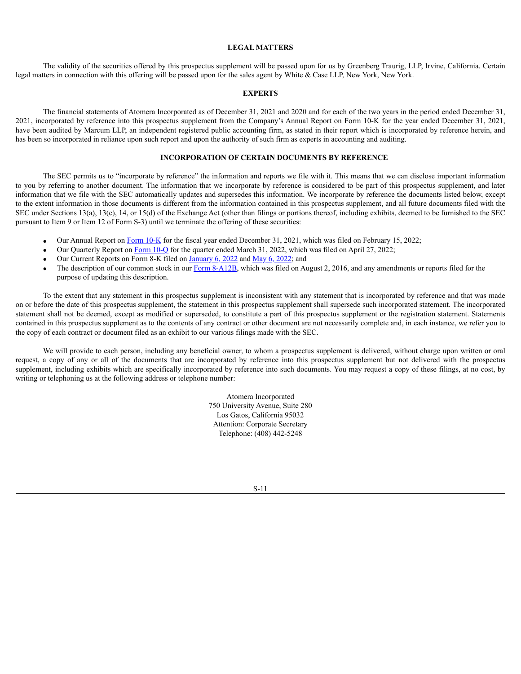## <span id="page-12-0"></span>**LEGAL MATTERS**

The validity of the securities offered by this prospectus supplement will be passed upon for us by Greenberg Traurig, LLP, Irvine, California. Certain legal matters in connection with this offering will be passed upon for the sales agent by White & Case LLP, New York, New York.

### <span id="page-12-1"></span>**EXPERTS**

The financial statements of Atomera Incorporated as of December 31, 2021 and 2020 and for each of the two years in the period ended December 31, 2021, incorporated by reference into this prospectus supplement from the Company's Annual Report on Form 10-K for the year ended December 31, 2021, have been audited by Marcum LLP, an independent registered public accounting firm, as stated in their report which is incorporated by reference herein, and has been so incorporated in reliance upon such report and upon the authority of such firm as experts in accounting and auditing.

### <span id="page-12-2"></span>**INCORPORATION OF CERTAIN DOCUMENTS BY REFERENCE**

The SEC permits us to "incorporate by reference" the information and reports we file with it. This means that we can disclose important information to you by referring to another document. The information that we incorporate by reference is considered to be part of this prospectus supplement, and later information that we file with the SEC automatically updates and supersedes this information. We incorporate by reference the documents listed below, except to the extent information in those documents is different from the information contained in this prospectus supplement, and all future documents filed with the SEC under Sections 13(a), 13(c), 14, or 15(d) of the Exchange Act (other than filings or portions thereof, including exhibits, deemed to be furnished to the SEC pursuant to Item 9 or Item 12 of Form S-3) until we terminate the offering of these securities:

- · Our Annual Report on [Form](https://content.edgar-online.com/ExternalLink/EDGAR/0001683168-22-001031.html?hash=9fc348c59ef51c5cb998b712e507995e344b6539905ab1b0be725ec687ad4310&dest=atomera_i10k-123121_htm) 10-K for the fiscal year ended December 31, 2021, which was filed on February 15, 2022;
- · Our Quarterly Report on [Form](https://content.edgar-online.com/ExternalLink/EDGAR/0001683168-22-002975.html?hash=e12521479dc50349a76d3b88e7b58977ba9d5c2b4b94115139821b84e31e9be5&dest=atomera_i10q-033122_htm) 10-Q for the quarter ended March 31, 2022, which was filed on April 27, 2022;
- Our Current Reports on Form 8-K filed on [January](https://content.edgar-online.com/ExternalLink/EDGAR/0001683168-22-000137.html?hash=9a6a4602a2b75c4ee730435280477eb4e7d575ef311f24224ffcbab743ccc3ec&dest=atomera_8k_htm) 6, 2022 and May 6, [2022;](https://content.edgar-online.com/ExternalLink/EDGAR/0001683168-22-003270.html?hash=3391939009c316048fa2e745f737469630a5831d00cc3f935423b5dccf42079b&dest=atomera_8k_htm) and
- The description of our common stock in our Form [8-A12B](https://content.edgar-online.com/ExternalLink/EDGAR/0001615774-16-006533.html?hash=98ad62ed09926ab2868b924cc42f0a31b78b945dc99ac009573c3e4bf6767ae1&dest=s103795_8a12b_htm), which was filed on August 2, 2016, and any amendments or reports filed for the purpose of updating this description.

To the extent that any statement in this prospectus supplement is inconsistent with any statement that is incorporated by reference and that was made on or before the date of this prospectus supplement, the statement in this prospectus supplement shall supersede such incorporated statement. The incorporated statement shall not be deemed, except as modified or superseded, to constitute a part of this prospectus supplement or the registration statement. Statements contained in this prospectus supplement as to the contents of any contract or other document are not necessarily complete and, in each instance, we refer you to the copy of each contract or document filed as an exhibit to our various filings made with the SEC.

We will provide to each person, including any beneficial owner, to whom a prospectus supplement is delivered, without charge upon written or oral request, a copy of any or all of the documents that are incorporated by reference into this prospectus supplement but not delivered with the prospectus supplement, including exhibits which are specifically incorporated by reference into such documents. You may request a copy of these filings, at no cost, by writing or telephoning us at the following address or telephone number:

> Atomera Incorporated 750 University Avenue, Suite 280 Los Gatos, California 95032 Attention: Corporate Secretary Telephone: (408) 442-5248

> > S-11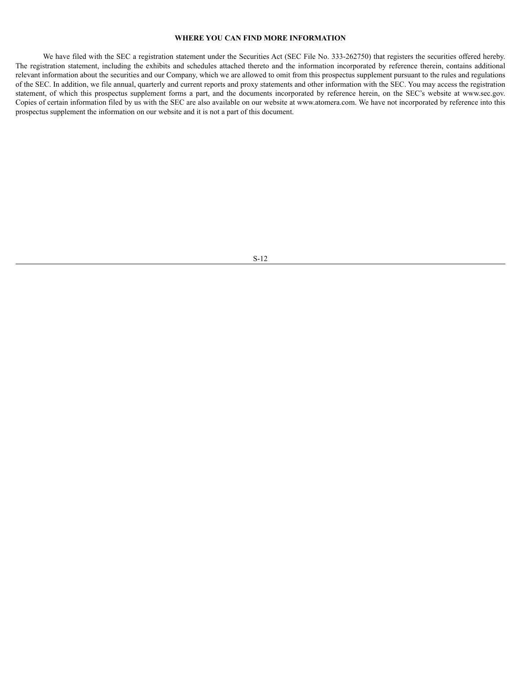# <span id="page-13-0"></span>**WHERE YOU CAN FIND MORE INFORMATION**

We have filed with the SEC a registration statement under the Securities Act (SEC File No. 333-262750) that registers the securities offered hereby. The registration statement, including the exhibits and schedules attached thereto and the information incorporated by reference therein, contains additional relevant information about the securities and our Company, which we are allowed to omit from this prospectus supplement pursuant to the rules and regulations of the SEC. In addition, we file annual, quarterly and current reports and proxy statements and other information with the SEC. You may access the registration statement, of which this prospectus supplement forms a part, and the documents incorporated by reference herein, on the SEC's website at www.sec.gov. Copies of certain information filed by us with the SEC are also available on our website at www.atomera.com. We have not incorporated by reference into this prospectus supplement the information on our website and it is not a part of this document.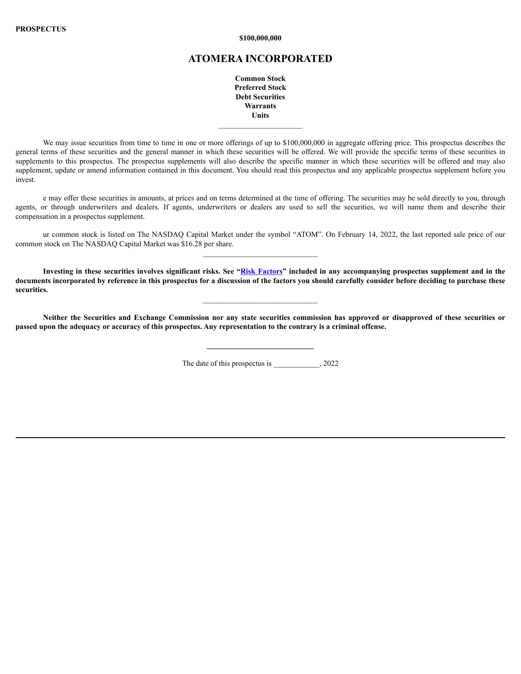**\$100,000,000**

# **ATOMERA INCORPORATED**

**Common Stock Preferred Stock Debt Securities Warrants Units**

We may issue securities from time to time in one or more offerings of up to \$100,000,000 in aggregate offering price. This prospectus describes the general terms of these securities and the general manner in which these securities will be offered. We will provide the specific terms of these securities in supplements to this prospectus. The prospectus supplements will also describe the specific manner in which these securities will be offered and may also supplement, update or amend information contained in this document. You should read this prospectus and any applicable prospectus supplement before you invest.

e may offer these securities in amounts, at prices and on terms determined at the time of offering. The securities may be sold directly to you, through agents, or through underwriters and dealers. If agents, underwriters or dealers are used to sell the securities, we will name them and describe their compensation in a prospectus supplement.

ur common stock is listed on The NASDAQ Capital Market under the symbol "ATOM". On February 14, 2022, the last reported sale price of our common stock on The NASDAQ Capital Market was \$16.28 per share.

Investing in these securities involves significant risks. See "Risk [Factors](#page-18-0)" included in any accompanying prospectus supplement and in the documents incorporated by reference in this prospectus for a discussion of the factors you should carefully consider before deciding to purchase these **securities.**

Neither the Securities and Exchange Commission nor any state securities commission has approved or disapproved of these securities or passed upon the adequacy or accuracy of this prospectus. Any representation to the contrary is a criminal offense.

The date of this prospectus is  $, 2022$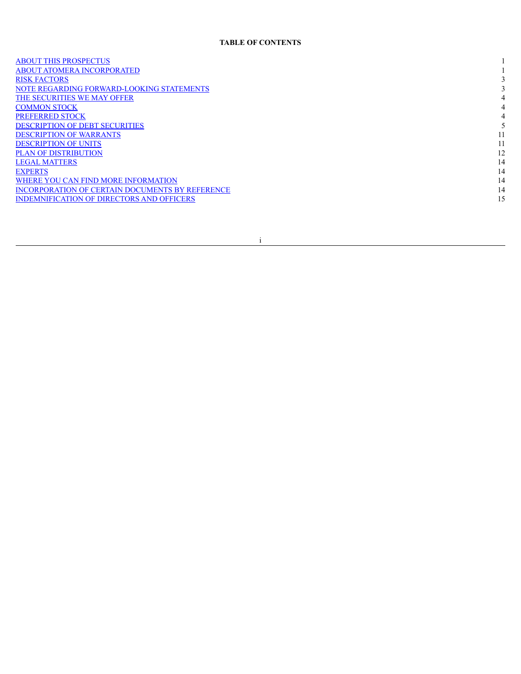# **TABLE OF CONTENTS**

| <b>ABOUT THIS PROSPECTUS</b>                     |    |
|--------------------------------------------------|----|
| <b>ABOUT ATOMERA INCORPORATED</b>                |    |
| <b>RISK FACTORS</b>                              |    |
| NOTE REGARDING FORWARD-LOOKING STATEMENTS        |    |
| THE SECURITIES WE MAY OFFER                      |    |
| <b>COMMON STOCK</b>                              |    |
| <b>PREFERRED STOCK</b>                           |    |
| <b>DESCRIPTION OF DEBT SECURITIES</b>            |    |
| <b>DESCRIPTION OF WARRANTS</b>                   |    |
| <b>DESCRIPTION OF UNITS</b>                      |    |
| <b>PLAN OF DISTRIBUTION</b>                      | 12 |
| <b>LEGAL MATTERS</b>                             | 14 |
| <b>EXPERTS</b>                                   | 14 |
| WHERE YOU CAN FIND MORE INFORMATION              | 14 |
| INCORPORATION OF CERTAIN DOCUMENTS BY REFERENCE  | 14 |
| <b>INDEMNIFICATION OF DIRECTORS AND OFFICERS</b> | 15 |
|                                                  |    |

i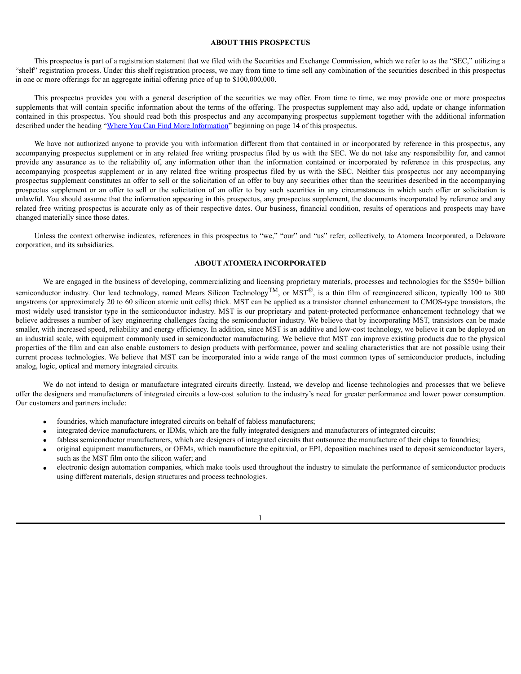### <span id="page-16-0"></span>**ABOUT THIS PROSPECTUS**

This prospectus is part of a registration statement that we filed with the Securities and Exchange Commission, which we refer to as the "SEC," utilizing a "shelf" registration process. Under this shelf registration process, we may from time to time sell any combination of the securities described in this prospectus in one or more offerings for an aggregate initial offering price of up to \$100,000,000.

This prospectus provides you with a general description of the securities we may offer. From time to time, we may provide one or more prospectus supplements that will contain specific information about the terms of the offering. The prospectus supplement may also add, update or change information contained in this prospectus. You should read both this prospectus and any accompanying prospectus supplement together with the additional information described under the heading "Where You Can Find More [Information](#page-29-2)" beginning on page 14 of this prospectus.

We have not authorized anyone to provide you with information different from that contained in or incorporated by reference in this prospectus, any accompanying prospectus supplement or in any related free writing prospectus filed by us with the SEC. We do not take any responsibility for, and cannot provide any assurance as to the reliability of, any information other than the information contained or incorporated by reference in this prospectus, any accompanying prospectus supplement or in any related free writing prospectus filed by us with the SEC. Neither this prospectus nor any accompanying prospectus supplement constitutes an offer to sell or the solicitation of an offer to buy any securities other than the securities described in the accompanying prospectus supplement or an offer to sell or the solicitation of an offer to buy such securities in any circumstances in which such offer or solicitation is unlawful. You should assume that the information appearing in this prospectus, any prospectus supplement, the documents incorporated by reference and any related free writing prospectus is accurate only as of their respective dates. Our business, financial condition, results of operations and prospects may have changed materially since those dates.

Unless the context otherwise indicates, references in this prospectus to "we," "our" and "us" refer, collectively, to Atomera Incorporated, a Delaware corporation, and its subsidiaries.

# <span id="page-16-1"></span>**ABOUT ATOMERA INCORPORATED**

We are engaged in the business of developing, commercializing and licensing proprietary materials, processes and technologies for the \$550+ billion semiconductor industry. Our lead technology, named Mears Silicon Technology<sup>TM</sup>, or MST<sup>®</sup>, is a thin film of reengineered silicon, typically 100 to 300 angstroms (or approximately 20 to 60 silicon atomic unit cells) thick. MST can be applied as a transistor channel enhancement to CMOS-type transistors, the most widely used transistor type in the semiconductor industry. MST is our proprietary and patent-protected performance enhancement technology that we believe addresses a number of key engineering challenges facing the semiconductor industry. We believe that by incorporating MST, transistors can be made smaller, with increased speed, reliability and energy efficiency. In addition, since MST is an additive and low-cost technology, we believe it can be deployed on an industrial scale, with equipment commonly used in semiconductor manufacturing. We believe that MST can improve existing products due to the physical properties of the film and can also enable customers to design products with performance, power and scaling characteristics that are not possible using their current process technologies. We believe that MST can be incorporated into a wide range of the most common types of semiconductor products, including analog, logic, optical and memory integrated circuits.

We do not intend to design or manufacture integrated circuits directly. Instead, we develop and license technologies and processes that we believe offer the designers and manufacturers of integrated circuits a low-cost solution to the industry's need for greater performance and lower power consumption. Our customers and partners include:

- foundries, which manufacture integrated circuits on behalf of fabless manufacturers;
- integrated device manufacturers, or IDMs, which are the fully integrated designers and manufacturers of integrated circuits;
- fabless semiconductor manufacturers, which are designers of integrated circuits that outsource the manufacture of their chips to foundries;
- · original equipment manufacturers, or OEMs, which manufacture the epitaxial, or EPI, deposition machines used to deposit semiconductor layers, such as the MST film onto the silicon wafer; and
- · electronic design automation companies, which make tools used throughout the industry to simulate the performance of semiconductor products using different materials, design structures and process technologies.

1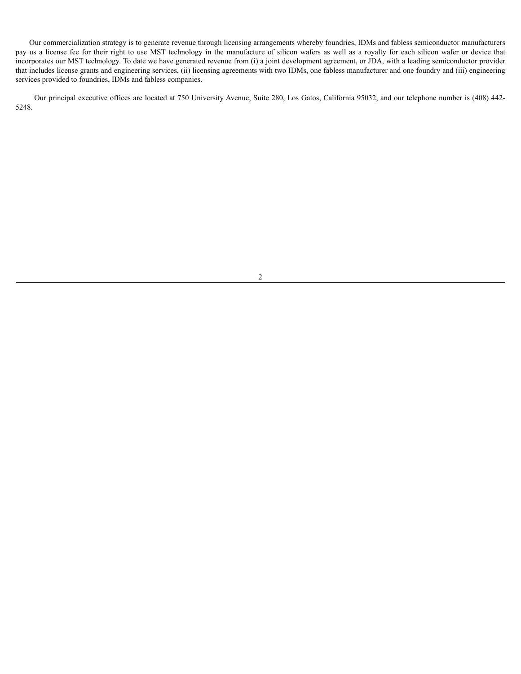Our commercialization strategy is to generate revenue through licensing arrangements whereby foundries, IDMs and fabless semiconductor manufacturers pay us a license fee for their right to use MST technology in the manufacture of silicon wafers as well as a royalty for each silicon wafer or device that incorporates our MST technology. To date we have generated revenue from (i) a joint development agreement, or JDA, with a leading semiconductor provider that includes license grants and engineering services, (ii) licensing agreements with two IDMs, one fabless manufacturer and one foundry and (iii) engineering services provided to foundries, IDMs and fabless companies.

Our principal executive offices are located at 750 University Avenue, Suite 280, Los Gatos, California 95032, and our telephone number is (408) 442- 5248.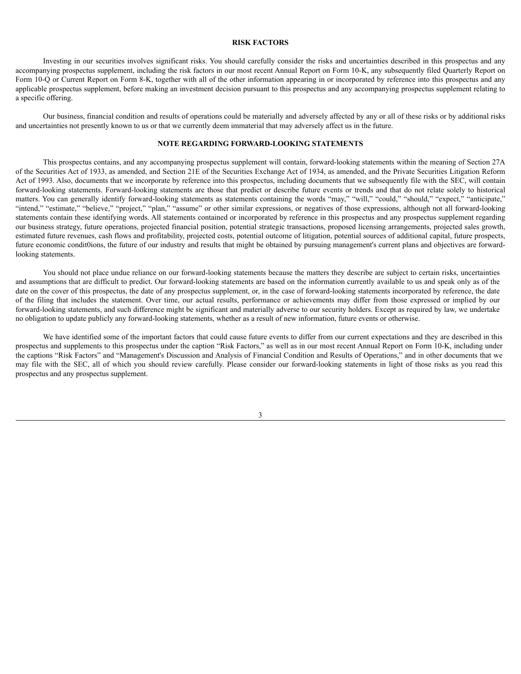### <span id="page-18-0"></span>**RISK FACTORS**

Investing in our securities involves significant risks. You should carefully consider the risks and uncertainties described in this prospectus and any accompanying prospectus supplement, including the risk factors in our most recent Annual Report on Form 10-K, any subsequently filed Quarterly Report on Form 10-Q or Current Report on Form 8-K, together with all of the other information appearing in or incorporated by reference into this prospectus and any applicable prospectus supplement, before making an investment decision pursuant to this prospectus and any accompanying prospectus supplement relating to a specific offering.

Our business, financial condition and results of operations could be materially and adversely affected by any or all of these risks or by additional risks and uncertainties not presently known to us or that we currently deem immaterial that may adversely affect us in the future.

### <span id="page-18-1"></span>**NOTE REGARDING FORWARD-LOOKING STATEMENTS**

This prospectus contains, and any accompanying prospectus supplement will contain, forward-looking statements within the meaning of Section 27A of the Securities Act of 1933, as amended, and Section 21E of the Securities Exchange Act of 1934, as amended, and the Private Securities Litigation Reform Act of 1993. Also, documents that we incorporate by reference into this prospectus, including documents that we subsequently file with the SEC, will contain forward-looking statements. Forward-looking statements are those that predict or describe future events or trends and that do not relate solely to historical matters. You can generally identify forward-looking statements as statements containing the words "may," "will," "could," "should," "expect," "anticipate," "intend," "estimate," "believe," "project," "plan," "assume" or other similar expressions, or negatives of those expressions, although not all forward-looking statements contain these identifying words. All statements contained or incorporated by reference in this prospectus and any prospectus supplement regarding our business strategy, future operations, projected financial position, potential strategic transactions, proposed licensing arrangements, projected sales growth, estimated future revenues, cash flows and profitability, projected costs, potential outcome of litigation, potential sources of additional capital, future prospects, future economic condit0ions, the future of our industry and results that might be obtained by pursuing management's current plans and objectives are forwardlooking statements.

You should not place undue reliance on our forward-looking statements because the matters they describe are subject to certain risks, uncertainties and assumptions that are difficult to predict. Our forward-looking statements are based on the information currently available to us and speak only as of the date on the cover of this prospectus, the date of any prospectus supplement, or, in the case of forward-looking statements incorporated by reference, the date of the filing that includes the statement. Over time, our actual results, performance or achievements may differ from those expressed or implied by our forward-looking statements, and such difference might be significant and materially adverse to our security holders. Except as required by law, we undertake no obligation to update publicly any forward-looking statements, whether as a result of new information, future events or otherwise.

We have identified some of the important factors that could cause future events to differ from our current expectations and they are described in this prospectus and supplements to this prospectus under the caption "Risk Factors," as well as in our most recent Annual Report on Form 10-K, including under the captions "Risk Factors" and "Management's Discussion and Analysis of Financial Condition and Results of Operations," and in other documents that we may file with the SEC, all of which you should review carefully. Please consider our forward-looking statements in light of those risks as you read this prospectus and any prospectus supplement.

3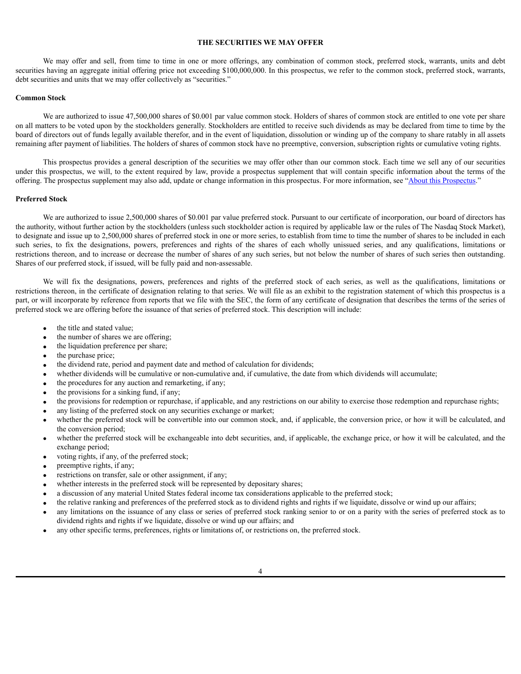### <span id="page-19-0"></span>**THE SECURITIES WE MAY OFFER**

We may offer and sell, from time to time in one or more offerings, any combination of common stock, preferred stock, warrants, units and debt securities having an aggregate initial offering price not exceeding \$100,000,000. In this prospectus, we refer to the common stock, preferred stock, warrants, debt securities and units that we may offer collectively as "securities."

### <span id="page-19-2"></span>**Common Stock**

We are authorized to issue 47,500,000 shares of \$0.001 par value common stock. Holders of shares of common stock are entitled to one vote per share on all matters to be voted upon by the stockholders generally. Stockholders are entitled to receive such dividends as may be declared from time to time by the board of directors out of funds legally available therefor, and in the event of liquidation, dissolution or winding up of the company to share ratably in all assets remaining after payment of liabilities. The holders of shares of common stock have no preemptive, conversion, subscription rights or cumulative voting rights.

This prospectus provides a general description of the securities we may offer other than our common stock. Each time we sell any of our securities under this prospectus, we will, to the extent required by law, provide a prospectus supplement that will contain specific information about the terms of the offering. The prospectus supplement may also add, update or change information in this prospectus. For more information, see "About this [Prospectus](#page-16-0)."

#### <span id="page-19-1"></span>**Preferred Stock**

We are authorized to issue 2,500,000 shares of \$0.001 par value preferred stock. Pursuant to our certificate of incorporation, our board of directors has the authority, without further action by the stockholders (unless such stockholder action is required by applicable law or the rules of The Nasdaq Stock Market), to designate and issue up to 2,500,000 shares of preferred stock in one or more series, to establish from time to time the number of shares to be included in each such series, to fix the designations, powers, preferences and rights of the shares of each wholly unissued series, and any qualifications, limitations or restrictions thereon, and to increase or decrease the number of shares of any such series, but not below the number of shares of such series then outstanding. Shares of our preferred stock, if issued, will be fully paid and non-assessable.

We will fix the designations, powers, preferences and rights of the preferred stock of each series, as well as the qualifications, limitations or restrictions thereon, in the certificate of designation relating to that series. We will file as an exhibit to the registration statement of which this prospectus is a part, or will incorporate by reference from reports that we file with the SEC, the form of any certificate of designation that describes the terms of the series of preferred stock we are offering before the issuance of that series of preferred stock. This description will include:

- the title and stated value;
- the number of shares we are offering;
- the liquidation preference per share;
- the purchase price;
- the dividend rate, period and payment date and method of calculation for dividends;
- whether dividends will be cumulative or non-cumulative and, if cumulative, the date from which dividends will accumulate;
- the procedures for any auction and remarketing, if any;
- the provisions for a sinking fund, if any;
- · the provisions for redemption or repurchase, if applicable, and any restrictions on our ability to exercise those redemption and repurchase rights;
- any listing of the preferred stock on any securities exchange or market;
- whether the preferred stock will be convertible into our common stock, and, if applicable, the conversion price, or how it will be calculated, and the conversion period;
- whether the preferred stock will be exchangeable into debt securities, and, if applicable, the exchange price, or how it will be calculated, and the exchange period;
- voting rights, if any, of the preferred stock;
- preemptive rights, if any;
- restrictions on transfer, sale or other assignment, if any;
- whether interests in the preferred stock will be represented by depositary shares;
- a discussion of any material United States federal income tax considerations applicable to the preferred stock;
- · the relative ranking and preferences of the preferred stock as to dividend rights and rights if we liquidate, dissolve or wind up our affairs;
- any limitations on the issuance of any class or series of preferred stock ranking senior to or on a parity with the series of preferred stock as to dividend rights and rights if we liquidate, dissolve or wind up our affairs; and
- any other specific terms, preferences, rights or limitations of, or restrictions on, the preferred stock.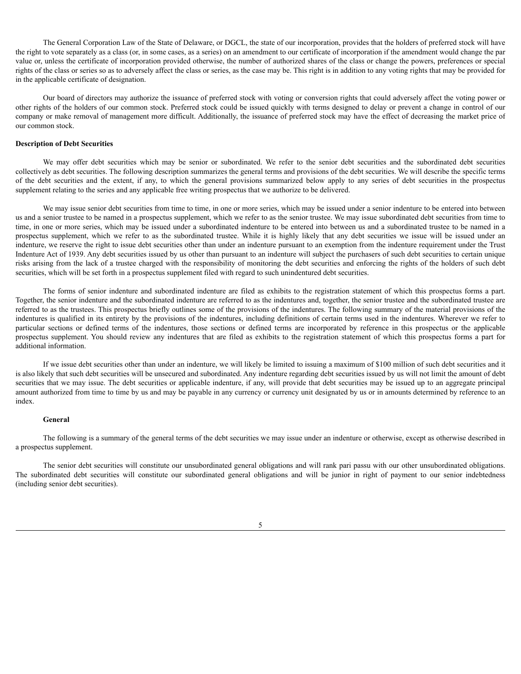The General Corporation Law of the State of Delaware, or DGCL, the state of our incorporation, provides that the holders of preferred stock will have the right to vote separately as a class (or, in some cases, as a series) on an amendment to our certificate of incorporation if the amendment would change the par value or, unless the certificate of incorporation provided otherwise, the number of authorized shares of the class or change the powers, preferences or special rights of the class or series so as to adversely affect the class or series, as the case may be. This right is in addition to any voting rights that may be provided for in the applicable certificate of designation.

Our board of directors may authorize the issuance of preferred stock with voting or conversion rights that could adversely affect the voting power or other rights of the holders of our common stock. Preferred stock could be issued quickly with terms designed to delay or prevent a change in control of our company or make removal of management more difficult. Additionally, the issuance of preferred stock may have the effect of decreasing the market price of our common stock.

### <span id="page-20-0"></span>**Description of Debt Securities**

We may offer debt securities which may be senior or subordinated. We refer to the senior debt securities and the subordinated debt securities collectively as debt securities. The following description summarizes the general terms and provisions of the debt securities. We will describe the specific terms of the debt securities and the extent, if any, to which the general provisions summarized below apply to any series of debt securities in the prospectus supplement relating to the series and any applicable free writing prospectus that we authorize to be delivered.

We may issue senior debt securities from time to time, in one or more series, which may be issued under a senior indenture to be entered into between us and a senior trustee to be named in a prospectus supplement, which we refer to as the senior trustee. We may issue subordinated debt securities from time to time, in one or more series, which may be issued under a subordinated indenture to be entered into between us and a subordinated trustee to be named in a prospectus supplement, which we refer to as the subordinated trustee. While it is highly likely that any debt securities we issue will be issued under an indenture, we reserve the right to issue debt securities other than under an indenture pursuant to an exemption from the indenture requirement under the Trust Indenture Act of 1939. Any debt securities issued by us other than pursuant to an indenture will subject the purchasers of such debt securities to certain unique risks arising from the lack of a trustee charged with the responsibility of monitoring the debt securities and enforcing the rights of the holders of such debt securities, which will be set forth in a prospectus supplement filed with regard to such unindentured debt securities.

The forms of senior indenture and subordinated indenture are filed as exhibits to the registration statement of which this prospectus forms a part. Together, the senior indenture and the subordinated indenture are referred to as the indentures and, together, the senior trustee and the subordinated trustee are referred to as the trustees. This prospectus briefly outlines some of the provisions of the indentures. The following summary of the material provisions of the indentures is qualified in its entirety by the provisions of the indentures, including definitions of certain terms used in the indentures. Wherever we refer to particular sections or defined terms of the indentures, those sections or defined terms are incorporated by reference in this prospectus or the applicable prospectus supplement. You should review any indentures that are filed as exhibits to the registration statement of which this prospectus forms a part for additional information.

If we issue debt securities other than under an indenture, we will likely be limited to issuing a maximum of \$100 million of such debt securities and it is also likely that such debt securities will be unsecured and subordinated. Any indenture regarding debt securities issued by us will not limit the amount of debt securities that we may issue. The debt securities or applicable indenture, if any, will provide that debt securities may be issued up to an aggregate principal amount authorized from time to time by us and may be payable in any currency or currency unit designated by us or in amounts determined by reference to an index.

### **General**

The following is a summary of the general terms of the debt securities we may issue under an indenture or otherwise, except as otherwise described in a prospectus supplement.

The senior debt securities will constitute our unsubordinated general obligations and will rank pari passu with our other unsubordinated obligations. The subordinated debt securities will constitute our subordinated general obligations and will be junior in right of payment to our senior indebtedness (including senior debt securities).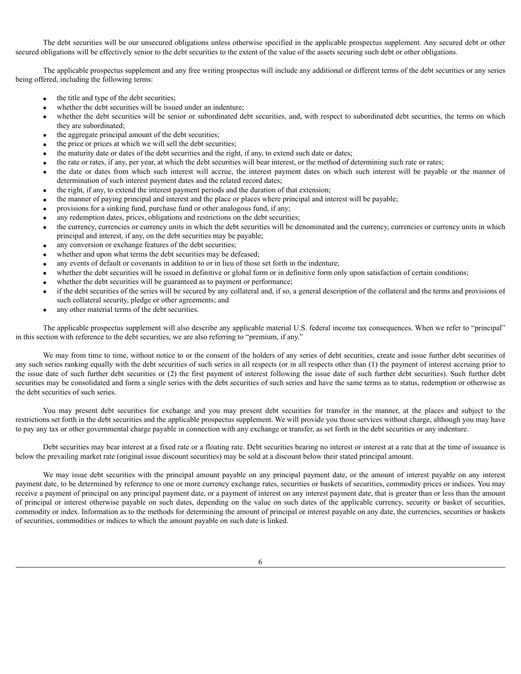The debt securities will be our unsecured obligations unless otherwise specified in the applicable prospectus supplement. Any secured debt or other secured obligations will be effectively senior to the debt securities to the extent of the value of the assets securing such debt or other obligations.

The applicable prospectus supplement and any free writing prospectus will include any additional or different terms of the debt securities or any series being offered, including the following terms:

- the title and type of the debt securities;
- whether the debt securities will be issued under an indenture;
- whether the debt securities will be senior or subordinated debt securities, and, with respect to subordinated debt securities, the terms on which they are subordinated;
- the aggregate principal amount of the debt securities;
- the price or prices at which we will sell the debt securities;
- · the maturity date or dates of the debt securities and the right, if any, to extend such date or dates;
- the rate or rates, if any, per year, at which the debt securities will bear interest, or the method of determining such rate or rates;
- the date or dates from which such interest will accrue, the interest payment dates on which such interest will be payable or the manner of determination of such interest payment dates and the related record dates;
- · the right, if any, to extend the interest payment periods and the duration of that extension;
- · the manner of paying principal and interest and the place or places where principal and interest will be payable;
- provisions for a sinking fund, purchase fund or other analogous fund, if any;
- any redemption dates, prices, obligations and restrictions on the debt securities;
- the currency, currencies or currency units in which the debt securities will be denominated and the currency, currencies or currency units in which principal and interest, if any, on the debt securities may be payable;
- any conversion or exchange features of the debt securities;
- whether and upon what terms the debt securities may be defeased;
- any events of default or covenants in addition to or in lieu of those set forth in the indenture;
- whether the debt securities will be issued in definitive or global form or in definitive form only upon satisfaction of certain conditions;
- whether the debt securities will be guaranteed as to payment or performance;
- if the debt securities of the series will be secured by any collateral and, if so, a general description of the collateral and the terms and provisions of such collateral security, pledge or other agreements; and
- any other material terms of the debt securities.

The applicable prospectus supplement will also describe any applicable material U.S. federal income tax consequences. When we refer to "principal" in this section with reference to the debt securities, we are also referring to "premium, if any."

We may from time to time, without notice to or the consent of the holders of any series of debt securities, create and issue further debt securities of any such series ranking equally with the debt securities of such series in all respects (or in all respects other than (1) the payment of interest accruing prior to the issue date of such further debt securities or (2) the first payment of interest following the issue date of such further debt securities). Such further debt securities may be consolidated and form a single series with the debt securities of such series and have the same terms as to status, redemption or otherwise as the debt securities of such series.

You may present debt securities for exchange and you may present debt securities for transfer in the manner, at the places and subject to the restrictions set forth in the debt securities and the applicable prospectus supplement. We will provide you those services without charge, although you may have to pay any tax or other governmental charge payable in connection with any exchange or transfer, as set forth in the debt securities or any indenture.

Debt securities may bear interest at a fixed rate or a floating rate. Debt securities bearing no interest or interest at a rate that at the time of issuance is below the prevailing market rate (original issue discount securities) may be sold at a discount below their stated principal amount.

We may issue debt securities with the principal amount payable on any principal payment date, or the amount of interest payable on any interest payment date, to be determined by reference to one or more currency exchange rates, securities or baskets of securities, commodity prices or indices. You may receive a payment of principal on any principal payment date, or a payment of interest on any interest payment date, that is greater than or less than the amount of principal or interest otherwise payable on such dates, depending on the value on such dates of the applicable currency, security or basket of securities, commodity or index. Information as to the methods for determining the amount of principal or interest payable on any date, the currencies, securities or baskets of securities, commodities or indices to which the amount payable on such date is linked.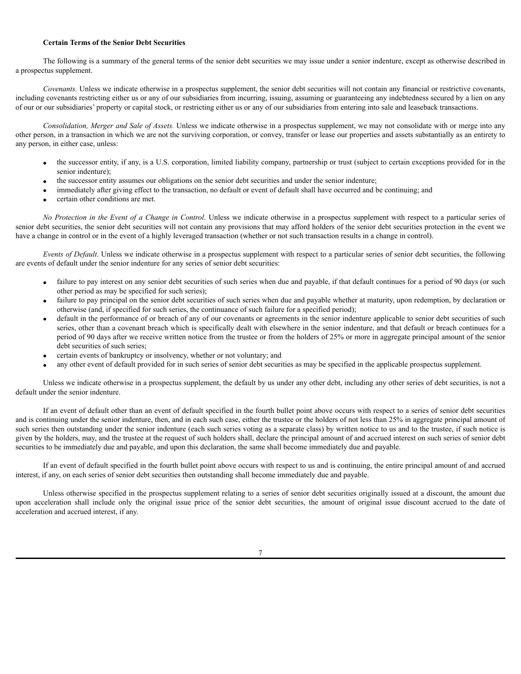### **Certain Terms of the Senior Debt Securities**

The following is a summary of the general terms of the senior debt securities we may issue under a senior indenture, except as otherwise described in a prospectus supplement.

*Covenants.* Unless we indicate otherwise in a prospectus supplement, the senior debt securities will not contain any financial or restrictive covenants, including covenants restricting either us or any of our subsidiaries from incurring, issuing, assuming or guaranteeing any indebtedness secured by a lien on any of our or our subsidiaries' property or capital stock, or restricting either us or any of our subsidiaries from entering into sale and leaseback transactions.

*Consolidation, Merger and Sale of Assets.* Unless we indicate otherwise in a prospectus supplement, we may not consolidate with or merge into any other person, in a transaction in which we are not the surviving corporation, or convey, transfer or lease our properties and assets substantially as an entirety to any person, in either case, unless:

- · the successor entity, if any, is a U.S. corporation, limited liability company, partnership or trust (subject to certain exceptions provided for in the senior indenture);
- · the successor entity assumes our obligations on the senior debt securities and under the senior indenture;
- immediately after giving effect to the transaction, no default or event of default shall have occurred and be continuing; and
- certain other conditions are met.

*No Protection in the Event of a Change in Control*. Unless we indicate otherwise in a prospectus supplement with respect to a particular series of senior debt securities, the senior debt securities will not contain any provisions that may afford holders of the senior debt securities protection in the event we have a change in control or in the event of a highly leveraged transaction (whether or not such transaction results in a change in control).

*Events of Default*. Unless we indicate otherwise in a prospectus supplement with respect to a particular series of senior debt securities, the following are events of default under the senior indenture for any series of senior debt securities:

- failure to pay interest on any senior debt securities of such series when due and payable, if that default continues for a period of 90 days (or such other period as may be specified for such series);
- failure to pay principal on the senior debt securities of such series when due and payable whether at maturity, upon redemption, by declaration or otherwise (and, if specified for such series, the continuance of such failure for a specified period);
- default in the performance of or breach of any of our covenants or agreements in the senior indenture applicable to senior debt securities of such series, other than a covenant breach which is specifically dealt with elsewhere in the senior indenture, and that default or breach continues for a period of 90 days after we receive written notice from the trustee or from the holders of 25% or more in aggregate principal amount of the senior debt securities of such series;
- certain events of bankruptcy or insolvency, whether or not voluntary; and
- · any other event of default provided for in such series of senior debt securities as may be specified in the applicable prospectus supplement.

Unless we indicate otherwise in a prospectus supplement, the default by us under any other debt, including any other series of debt securities, is not a default under the senior indenture.

If an event of default other than an event of default specified in the fourth bullet point above occurs with respect to a series of senior debt securities and is continuing under the senior indenture, then, and in each such case, either the trustee or the holders of not less than 25% in aggregate principal amount of such series then outstanding under the senior indenture (each such series voting as a separate class) by written notice to us and to the trustee, if such notice is given by the holders, may, and the trustee at the request of such holders shall, declare the principal amount of and accrued interest on such series of senior debt securities to be immediately due and payable, and upon this declaration, the same shall become immediately due and payable.

If an event of default specified in the fourth bullet point above occurs with respect to us and is continuing, the entire principal amount of and accrued interest, if any, on each series of senior debt securities then outstanding shall become immediately due and payable.

Unless otherwise specified in the prospectus supplement relating to a series of senior debt securities originally issued at a discount, the amount due upon acceleration shall include only the original issue price of the senior debt securities, the amount of original issue discount accrued to the date of acceleration and accrued interest, if any.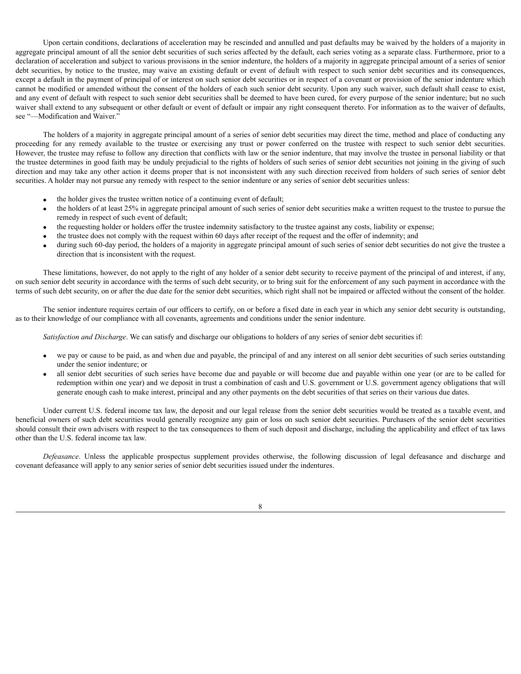Upon certain conditions, declarations of acceleration may be rescinded and annulled and past defaults may be waived by the holders of a majority in aggregate principal amount of all the senior debt securities of such series affected by the default, each series voting as a separate class. Furthermore, prior to a declaration of acceleration and subject to various provisions in the senior indenture, the holders of a majority in aggregate principal amount of a series of senior debt securities, by notice to the trustee, may waive an existing default or event of default with respect to such senior debt securities and its consequences, except a default in the payment of principal of or interest on such senior debt securities or in respect of a covenant or provision of the senior indenture which cannot be modified or amended without the consent of the holders of each such senior debt security. Upon any such waiver, such default shall cease to exist, and any event of default with respect to such senior debt securities shall be deemed to have been cured, for every purpose of the senior indenture; but no such waiver shall extend to any subsequent or other default or event of default or impair any right consequent thereto. For information as to the waiver of defaults, see "—Modification and Waiver."

The holders of a majority in aggregate principal amount of a series of senior debt securities may direct the time, method and place of conducting any proceeding for any remedy available to the trustee or exercising any trust or power conferred on the trustee with respect to such senior debt securities. However, the trustee may refuse to follow any direction that conflicts with law or the senior indenture, that may involve the trustee in personal liability or that the trustee determines in good faith may be unduly prejudicial to the rights of holders of such series of senior debt securities not joining in the giving of such direction and may take any other action it deems proper that is not inconsistent with any such direction received from holders of such series of senior debt securities. A holder may not pursue any remedy with respect to the senior indenture or any series of senior debt securities unless:

- · the holder gives the trustee written notice of a continuing event of default;
- · the holders of at least 25% in aggregate principal amount of such series of senior debt securities make a written request to the trustee to pursue the remedy in respect of such event of default;
- · the requesting holder or holders offer the trustee indemnity satisfactory to the trustee against any costs, liability or expense;
- · the trustee does not comply with the request within 60 days after receipt of the request and the offer of indemnity; and
- during such 60-day period, the holders of a majority in aggregate principal amount of such series of senior debt securities do not give the trustee a direction that is inconsistent with the request.

These limitations, however, do not apply to the right of any holder of a senior debt security to receive payment of the principal of and interest, if any, on such senior debt security in accordance with the terms of such debt security, or to bring suit for the enforcement of any such payment in accordance with the terms of such debt security, on or after the due date for the senior debt securities, which right shall not be impaired or affected without the consent of the holder.

The senior indenture requires certain of our officers to certify, on or before a fixed date in each year in which any senior debt security is outstanding, as to their knowledge of our compliance with all covenants, agreements and conditions under the senior indenture.

*Satisfaction and Discharge*. We can satisfy and discharge our obligations to holders of any series of senior debt securities if:

- we pay or cause to be paid, as and when due and payable, the principal of and any interest on all senior debt securities of such series outstanding under the senior indenture; or
- all senior debt securities of such series have become due and payable or will become due and payable within one year (or are to be called for redemption within one year) and we deposit in trust a combination of cash and U.S. government or U.S. government agency obligations that will generate enough cash to make interest, principal and any other payments on the debt securities of that series on their various due dates.

Under current U.S. federal income tax law, the deposit and our legal release from the senior debt securities would be treated as a taxable event, and beneficial owners of such debt securities would generally recognize any gain or loss on such senior debt securities. Purchasers of the senior debt securities should consult their own advisers with respect to the tax consequences to them of such deposit and discharge, including the applicability and effect of tax laws other than the U.S. federal income tax law.

*Defeasance*. Unless the applicable prospectus supplement provides otherwise, the following discussion of legal defeasance and discharge and covenant defeasance will apply to any senior series of senior debt securities issued under the indentures.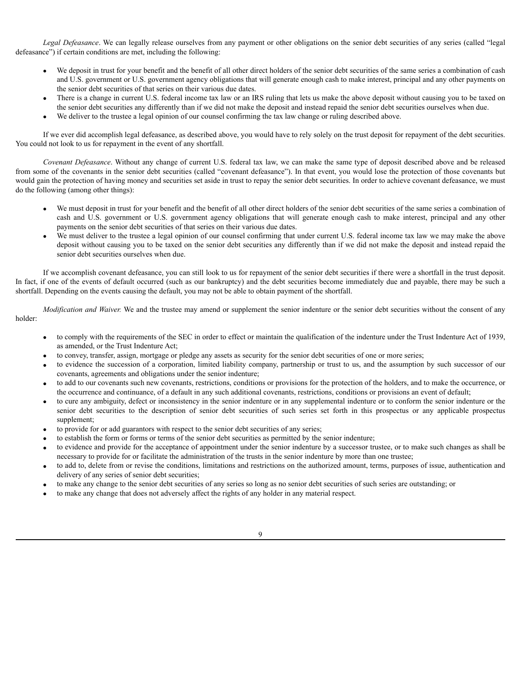*Legal Defeasance*. We can legally release ourselves from any payment or other obligations on the senior debt securities of any series (called "legal defeasance") if certain conditions are met, including the following:

- We deposit in trust for your benefit and the benefit of all other direct holders of the senior debt securities of the same series a combination of cash and U.S. government or U.S. government agency obligations that will generate enough cash to make interest, principal and any other payments on the senior debt securities of that series on their various due dates.
- There is a change in current U.S. federal income tax law or an IRS ruling that lets us make the above deposit without causing you to be taxed on the senior debt securities any differently than if we did not make the deposit and instead repaid the senior debt securities ourselves when due.
- We deliver to the trustee a legal opinion of our counsel confirming the tax law change or ruling described above.

If we ever did accomplish legal defeasance, as described above, you would have to rely solely on the trust deposit for repayment of the debt securities. You could not look to us for repayment in the event of any shortfall.

*Covenant Defeasance*. Without any change of current U.S. federal tax law, we can make the same type of deposit described above and be released from some of the covenants in the senior debt securities (called "covenant defeasance"). In that event, you would lose the protection of those covenants but would gain the protection of having money and securities set aside in trust to repay the senior debt securities. In order to achieve covenant defeasance, we must do the following (among other things):

- · We must deposit in trust for your benefit and the benefit of all other direct holders of the senior debt securities of the same series a combination of cash and U.S. government or U.S. government agency obligations that will generate enough cash to make interest, principal and any other payments on the senior debt securities of that series on their various due dates.
- We must deliver to the trustee a legal opinion of our counsel confirming that under current U.S. federal income tax law we may make the above deposit without causing you to be taxed on the senior debt securities any differently than if we did not make the deposit and instead repaid the senior debt securities ourselves when due.

If we accomplish covenant defeasance, you can still look to us for repayment of the senior debt securities if there were a shortfall in the trust deposit. In fact, if one of the events of default occurred (such as our bankruptcy) and the debt securities become immediately due and payable, there may be such a shortfall. Depending on the events causing the default, you may not be able to obtain payment of the shortfall.

*Modification and Waiver.* We and the trustee may amend or supplement the senior indenture or the senior debt securities without the consent of any holder:

- · to comply with the requirements of the SEC in order to effect or maintain the qualification of the indenture under the Trust Indenture Act of 1939, as amended, or the Trust Indenture Act;
- to convey, transfer, assign, mortgage or pledge any assets as security for the senior debt securities of one or more series;
- · to evidence the succession of a corporation, limited liability company, partnership or trust to us, and the assumption by such successor of our covenants, agreements and obligations under the senior indenture;
- to add to our covenants such new covenants, restrictions, conditions or provisions for the protection of the holders, and to make the occurrence, or the occurrence and continuance, of a default in any such additional covenants, restrictions, conditions or provisions an event of default;
- · to cure any ambiguity, defect or inconsistency in the senior indenture or in any supplemental indenture or to conform the senior indenture or the senior debt securities to the description of senior debt securities of such series set forth in this prospectus or any applicable prospectus supplement;
- · to provide for or add guarantors with respect to the senior debt securities of any series;
- · to establish the form or forms or terms of the senior debt securities as permitted by the senior indenture;
- · to evidence and provide for the acceptance of appointment under the senior indenture by a successor trustee, or to make such changes as shall be necessary to provide for or facilitate the administration of the trusts in the senior indenture by more than one trustee;
- to add to, delete from or revise the conditions, limitations and restrictions on the authorized amount, terms, purposes of issue, authentication and delivery of any series of senior debt securities;
- · to make any change to the senior debt securities of any series so long as no senior debt securities of such series are outstanding; or
- to make any change that does not adversely affect the rights of any holder in any material respect.

9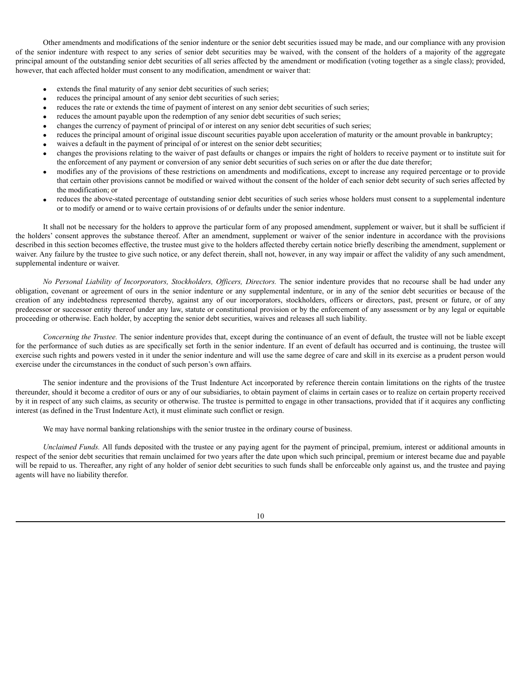Other amendments and modifications of the senior indenture or the senior debt securities issued may be made, and our compliance with any provision of the senior indenture with respect to any series of senior debt securities may be waived, with the consent of the holders of a majority of the aggregate principal amount of the outstanding senior debt securities of all series affected by the amendment or modification (voting together as a single class); provided, however, that each affected holder must consent to any modification, amendment or waiver that:

- extends the final maturity of any senior debt securities of such series;
- reduces the principal amount of any senior debt securities of such series;
- reduces the rate or extends the time of payment of interest on any senior debt securities of such series;
- reduces the amount payable upon the redemption of any senior debt securities of such series;
- · changes the currency of payment of principal of or interest on any senior debt securities of such series;
- reduces the principal amount of original issue discount securities payable upon acceleration of maturity or the amount provable in bankruptcy;
- waives a default in the payment of principal of or interest on the senior debt securities;
- · changes the provisions relating to the waiver of past defaults or changes or impairs the right of holders to receive payment or to institute suit for the enforcement of any payment or conversion of any senior debt securities of such series on or after the due date therefor;
- modifies any of the provisions of these restrictions on amendments and modifications, except to increase any required percentage or to provide that certain other provisions cannot be modified or waived without the consent of the holder of each senior debt security of such series affected by the modification; or
- reduces the above-stated percentage of outstanding senior debt securities of such series whose holders must consent to a supplemental indenture or to modify or amend or to waive certain provisions of or defaults under the senior indenture.

It shall not be necessary for the holders to approve the particular form of any proposed amendment, supplement or waiver, but it shall be sufficient if the holders' consent approves the substance thereof. After an amendment, supplement or waiver of the senior indenture in accordance with the provisions described in this section becomes effective, the trustee must give to the holders affected thereby certain notice briefly describing the amendment, supplement or waiver. Any failure by the trustee to give such notice, or any defect therein, shall not, however, in any way impair or affect the validity of any such amendment, supplemental indenture or waiver.

*No Personal Liability of Incorporators, Stockholders, Of icers, Directors.* The senior indenture provides that no recourse shall be had under any obligation, covenant or agreement of ours in the senior indenture or any supplemental indenture, or in any of the senior debt securities or because of the creation of any indebtedness represented thereby, against any of our incorporators, stockholders, officers or directors, past, present or future, or of any predecessor or successor entity thereof under any law, statute or constitutional provision or by the enforcement of any assessment or by any legal or equitable proceeding or otherwise. Each holder, by accepting the senior debt securities, waives and releases all such liability.

*Concerning the Trustee.* The senior indenture provides that, except during the continuance of an event of default, the trustee will not be liable except for the performance of such duties as are specifically set forth in the senior indenture. If an event of default has occurred and is continuing, the trustee will exercise such rights and powers vested in it under the senior indenture and will use the same degree of care and skill in its exercise as a prudent person would exercise under the circumstances in the conduct of such person's own affairs.

The senior indenture and the provisions of the Trust Indenture Act incorporated by reference therein contain limitations on the rights of the trustee thereunder, should it become a creditor of ours or any of our subsidiaries, to obtain payment of claims in certain cases or to realize on certain property received by it in respect of any such claims, as security or otherwise. The trustee is permitted to engage in other transactions, provided that if it acquires any conflicting interest (as defined in the Trust Indenture Act), it must eliminate such conflict or resign.

We may have normal banking relationships with the senior trustee in the ordinary course of business.

*Unclaimed Funds.* All funds deposited with the trustee or any paying agent for the payment of principal, premium, interest or additional amounts in respect of the senior debt securities that remain unclaimed for two years after the date upon which such principal, premium or interest became due and payable will be repaid to us. Thereafter, any right of any holder of senior debt securities to such funds shall be enforceable only against us, and the trustee and paying agents will have no liability therefor.

10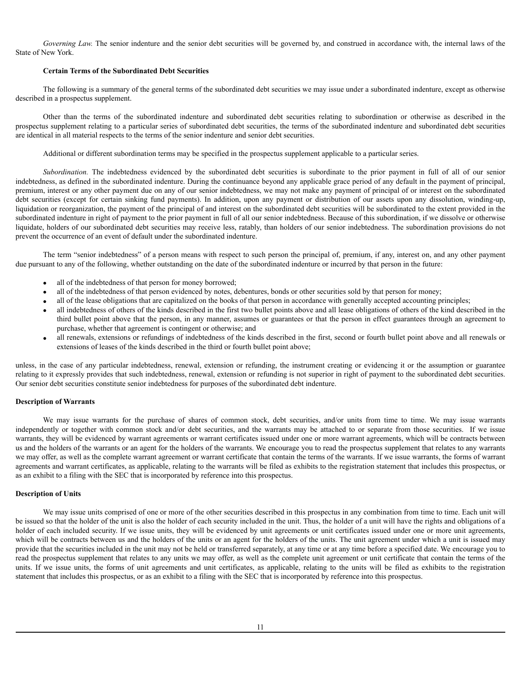*Governing Law.* The senior indenture and the senior debt securities will be governed by, and construed in accordance with, the internal laws of the State of New York.

## **Certain Terms of the Subordinated Debt Securities**

The following is a summary of the general terms of the subordinated debt securities we may issue under a subordinated indenture, except as otherwise described in a prospectus supplement.

Other than the terms of the subordinated indenture and subordinated debt securities relating to subordination or otherwise as described in the prospectus supplement relating to a particular series of subordinated debt securities, the terms of the subordinated indenture and subordinated debt securities are identical in all material respects to the terms of the senior indenture and senior debt securities.

Additional or different subordination terms may be specified in the prospectus supplement applicable to a particular series.

*Subordination.* The indebtedness evidenced by the subordinated debt securities is subordinate to the prior payment in full of all of our senior indebtedness, as defined in the subordinated indenture. During the continuance beyond any applicable grace period of any default in the payment of principal, premium, interest or any other payment due on any of our senior indebtedness, we may not make any payment of principal of or interest on the subordinated debt securities (except for certain sinking fund payments). In addition, upon any payment or distribution of our assets upon any dissolution, winding-up, liquidation or reorganization, the payment of the principal of and interest on the subordinated debt securities will be subordinated to the extent provided in the subordinated indenture in right of payment to the prior payment in full of all our senior indebtedness. Because of this subordination, if we dissolve or otherwise liquidate, holders of our subordinated debt securities may receive less, ratably, than holders of our senior indebtedness. The subordination provisions do not prevent the occurrence of an event of default under the subordinated indenture.

The term "senior indebtedness" of a person means with respect to such person the principal of, premium, if any, interest on, and any other payment due pursuant to any of the following, whether outstanding on the date of the subordinated indenture or incurred by that person in the future:

- all of the indebtedness of that person for money borrowed;
- · all of the indebtedness of that person evidenced by notes, debentures, bonds or other securities sold by that person for money;
- · all of the lease obligations that are capitalized on the books of that person in accordance with generally accepted accounting principles;
- · all indebtedness of others of the kinds described in the first two bullet points above and all lease obligations of others of the kind described in the third bullet point above that the person, in any manner, assumes or guarantees or that the person in effect guarantees through an agreement to purchase, whether that agreement is contingent or otherwise; and
- all renewals, extensions or refundings of indebtedness of the kinds described in the first, second or fourth bullet point above and all renewals or extensions of leases of the kinds described in the third or fourth bullet point above;

unless, in the case of any particular indebtedness, renewal, extension or refunding, the instrument creating or evidencing it or the assumption or guarantee relating to it expressly provides that such indebtedness, renewal, extension or refunding is not superior in right of payment to the subordinated debt securities. Our senior debt securities constitute senior indebtedness for purposes of the subordinated debt indenture.

## <span id="page-26-0"></span>**Description of Warrants**

We may issue warrants for the purchase of shares of common stock, debt securities, and/or units from time to time. We may issue warrants independently or together with common stock and/or debt securities, and the warrants may be attached to or separate from those securities. If we issue warrants, they will be evidenced by warrant agreements or warrant certificates issued under one or more warrant agreements, which will be contracts between us and the holders of the warrants or an agent for the holders of the warrants. We encourage you to read the prospectus supplement that relates to any warrants we may offer, as well as the complete warrant agreement or warrant certificate that contain the terms of the warrants. If we issue warrants, the forms of warrant agreements and warrant certificates, as applicable, relating to the warrants will be filed as exhibits to the registration statement that includes this prospectus, or as an exhibit to a filing with the SEC that is incorporated by reference into this prospectus.

### <span id="page-26-1"></span>**Description of Units**

We may issue units comprised of one or more of the other securities described in this prospectus in any combination from time to time. Each unit will be issued so that the holder of the unit is also the holder of each security included in the unit. Thus, the holder of a unit will have the rights and obligations of a holder of each included security. If we issue units, they will be evidenced by unit agreements or unit certificates issued under one or more unit agreements, which will be contracts between us and the holders of the units or an agent for the holders of the units. The unit agreement under which a unit is issued may provide that the securities included in the unit may not be held or transferred separately, at any time or at any time before a specified date. We encourage you to read the prospectus supplement that relates to any units we may offer, as well as the complete unit agreement or unit certificate that contain the terms of the units. If we issue units, the forms of unit agreements and unit certificates, as applicable, relating to the units will be filed as exhibits to the registration statement that includes this prospectus, or as an exhibit to a filing with the SEC that is incorporated by reference into this prospectus.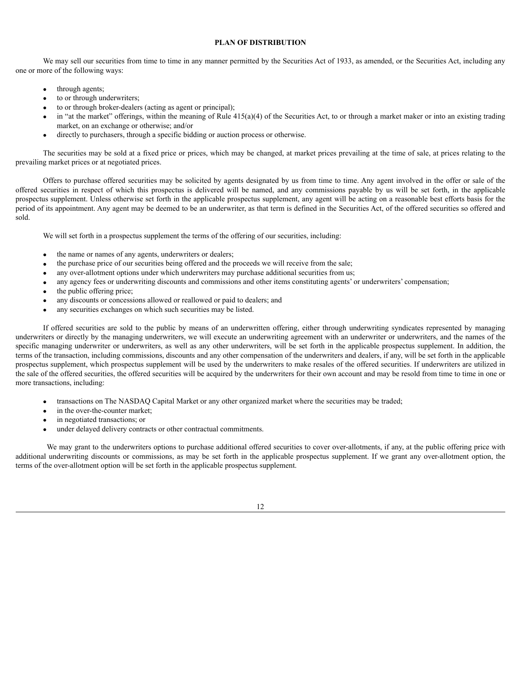## <span id="page-27-0"></span>**PLAN OF DISTRIBUTION**

We may sell our securities from time to time in any manner permitted by the Securities Act of 1933, as amended, or the Securities Act, including any one or more of the following ways:

- through agents;
- to or through underwriters;
- to or through broker-dealers (acting as agent or principal);
- in "at the market" offerings, within the meaning of Rule  $415(a)(4)$  of the Securities Act, to or through a market maker or into an existing trading market, on an exchange or otherwise; and/or
- · directly to purchasers, through a specific bidding or auction process or otherwise.

The securities may be sold at a fixed price or prices, which may be changed, at market prices prevailing at the time of sale, at prices relating to the prevailing market prices or at negotiated prices.

Offers to purchase offered securities may be solicited by agents designated by us from time to time. Any agent involved in the offer or sale of the offered securities in respect of which this prospectus is delivered will be named, and any commissions payable by us will be set forth, in the applicable prospectus supplement. Unless otherwise set forth in the applicable prospectus supplement, any agent will be acting on a reasonable best efforts basis for the period of its appointment. Any agent may be deemed to be an underwriter, as that term is defined in the Securities Act, of the offered securities so offered and sold.

We will set forth in a prospectus supplement the terms of the offering of our securities, including:

- the name or names of any agents, underwriters or dealers;
- · the purchase price of our securities being offered and the proceeds we will receive from the sale;
- any over-allotment options under which underwriters may purchase additional securities from us;
- any agency fees or underwriting discounts and commissions and other items constituting agents' or underwriters' compensation;
- the public offering price;
- any discounts or concessions allowed or reallowed or paid to dealers; and
- any securities exchanges on which such securities may be listed.

If offered securities are sold to the public by means of an underwritten offering, either through underwriting syndicates represented by managing underwriters or directly by the managing underwriters, we will execute an underwriting agreement with an underwriter or underwriters, and the names of the specific managing underwriter or underwriters, as well as any other underwriters, will be set forth in the applicable prospectus supplement. In addition, the terms of the transaction, including commissions, discounts and any other compensation of the underwriters and dealers, if any, will be set forth in the applicable prospectus supplement, which prospectus supplement will be used by the underwriters to make resales of the offered securities. If underwriters are utilized in the sale of the offered securities, the offered securities will be acquired by the underwriters for their own account and may be resold from time to time in one or more transactions, including:

- · transactions on The NASDAQ Capital Market or any other organized market where the securities may be traded;
- in the over-the-counter market;
- in negotiated transactions; or
- under delayed delivery contracts or other contractual commitments.

We may grant to the underwriters options to purchase additional offered securities to cover over-allotments, if any, at the public offering price with additional underwriting discounts or commissions, as may be set forth in the applicable prospectus supplement. If we grant any over-allotment option, the terms of the over-allotment option will be set forth in the applicable prospectus supplement.

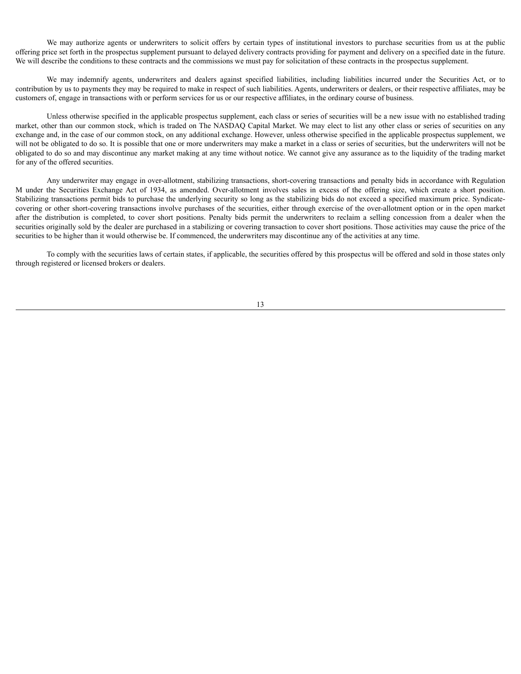We may authorize agents or underwriters to solicit offers by certain types of institutional investors to purchase securities from us at the public offering price set forth in the prospectus supplement pursuant to delayed delivery contracts providing for payment and delivery on a specified date in the future. We will describe the conditions to these contracts and the commissions we must pay for solicitation of these contracts in the prospectus supplement.

We may indemnify agents, underwriters and dealers against specified liabilities, including liabilities incurred under the Securities Act, or to contribution by us to payments they may be required to make in respect of such liabilities. Agents, underwriters or dealers, or their respective affiliates, may be customers of, engage in transactions with or perform services for us or our respective affiliates, in the ordinary course of business.

Unless otherwise specified in the applicable prospectus supplement, each class or series of securities will be a new issue with no established trading market, other than our common stock, which is traded on The NASDAQ Capital Market. We may elect to list any other class or series of securities on any exchange and, in the case of our common stock, on any additional exchange. However, unless otherwise specified in the applicable prospectus supplement, we will not be obligated to do so. It is possible that one or more underwriters may make a market in a class or series of securities, but the underwriters will not be obligated to do so and may discontinue any market making at any time without notice. We cannot give any assurance as to the liquidity of the trading market for any of the offered securities.

Any underwriter may engage in over-allotment, stabilizing transactions, short-covering transactions and penalty bids in accordance with Regulation M under the Securities Exchange Act of 1934, as amended. Over-allotment involves sales in excess of the offering size, which create a short position. Stabilizing transactions permit bids to purchase the underlying security so long as the stabilizing bids do not exceed a specified maximum price. Syndicatecovering or other short-covering transactions involve purchases of the securities, either through exercise of the over-allotment option or in the open market after the distribution is completed, to cover short positions. Penalty bids permit the underwriters to reclaim a selling concession from a dealer when the securities originally sold by the dealer are purchased in a stabilizing or covering transaction to cover short positions. Those activities may cause the price of the securities to be higher than it would otherwise be. If commenced, the underwriters may discontinue any of the activities at any time.

To comply with the securities laws of certain states, if applicable, the securities offered by this prospectus will be offered and sold in those states only through registered or licensed brokers or dealers.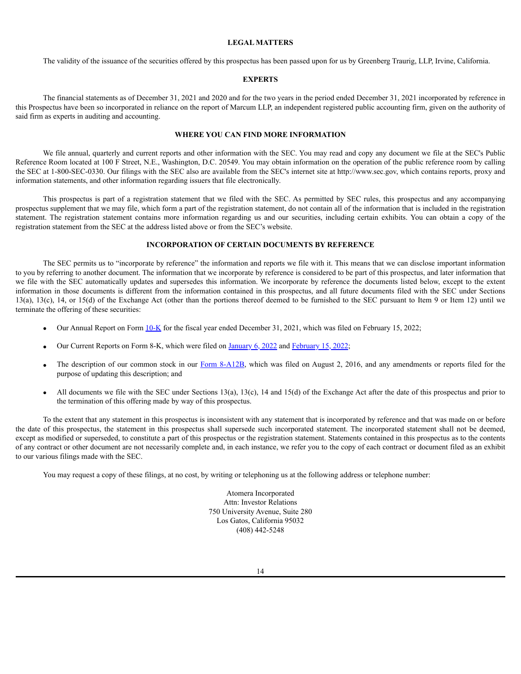### <span id="page-29-0"></span>**LEGAL MATTERS**

The validity of the issuance of the securities offered by this prospectus has been passed upon for us by Greenberg Traurig, LLP, Irvine, California.

# <span id="page-29-1"></span>**EXPERTS**

The financial statements as of December 31, 2021 and 2020 and for the two years in the period ended December 31, 2021 incorporated by reference in this Prospectus have been so incorporated in reliance on the report of Marcum LLP, an independent registered public accounting firm, given on the authority of said firm as experts in auditing and accounting.

### <span id="page-29-2"></span>**WHERE YOU CAN FIND MORE INFORMATION**

We file annual, quarterly and current reports and other information with the SEC. You may read and copy any document we file at the SEC's Public Reference Room located at 100 F Street, N.E., Washington, D.C. 20549. You may obtain information on the operation of the public reference room by calling the SEC at 1-800-SEC-0330. Our filings with the SEC also are available from the SEC's internet site at http://www.sec.gov, which contains reports, proxy and information statements, and other information regarding issuers that file electronically.

This prospectus is part of a registration statement that we filed with the SEC. As permitted by SEC rules, this prospectus and any accompanying prospectus supplement that we may file, which form a part of the registration statement, do not contain all of the information that is included in the registration statement. The registration statement contains more information regarding us and our securities, including certain exhibits. You can obtain a copy of the registration statement from the SEC at the address listed above or from the SEC's website.

### <span id="page-29-3"></span>**INCORPORATION OF CERTAIN DOCUMENTS BY REFERENCE**

The SEC permits us to "incorporate by reference" the information and reports we file with it. This means that we can disclose important information to you by referring to another document. The information that we incorporate by reference is considered to be part of this prospectus, and later information that we file with the SEC automatically updates and supersedes this information. We incorporate by reference the documents listed below, except to the extent information in those documents is different from the information contained in this prospectus, and all future documents filed with the SEC under Sections 13(a), 13(c), 14, or 15(d) of the Exchange Act (other than the portions thereof deemed to be furnished to the SEC pursuant to Item 9 or Item 12) until we terminate the offering of these securities:

- Our Annual Report on Form [10-K](https://content.edgar-online.com/ExternalLink/EDGAR/0001683168-22-001031.html?hash=9fc348c59ef51c5cb998b712e507995e344b6539905ab1b0be725ec687ad4310&dest=atomera_i10k-123121_htm) for the fiscal year ended December 31, 2021, which was filed on February 15, 2022;
- · Our Current Reports on Form 8-K, which were filed on [January](https://content.edgar-online.com/ExternalLink/EDGAR/0001683168-22-000137.html?hash=9a6a4602a2b75c4ee730435280477eb4e7d575ef311f24224ffcbab743ccc3ec&dest=atomera_8k_htm) 6, 2022 and [February](https://content.edgar-online.com/ExternalLink/EDGAR/0001683168-22-001030.html?hash=03c94a9a508c92c1134fafd0027b6ad1cc9ca25feef821740e00fd9f0f83e02a&dest=atomera_8k_htm) 15, 2022;
- The description of our common stock in our Form [8-A12B](https://content.edgar-online.com/ExternalLink/EDGAR/0001615774-16-006533.html?hash=98ad62ed09926ab2868b924cc42f0a31b78b945dc99ac009573c3e4bf6767ae1&dest=s103795_8a12b_htm), which was filed on August 2, 2016, and any amendments or reports filed for the purpose of updating this description; and
- All documents we file with the SEC under Sections 13(a), 13(c), 14 and 15(d) of the Exchange Act after the date of this prospectus and prior to the termination of this offering made by way of this prospectus.

To the extent that any statement in this prospectus is inconsistent with any statement that is incorporated by reference and that was made on or before the date of this prospectus, the statement in this prospectus shall supersede such incorporated statement. The incorporated statement shall not be deemed, except as modified or superseded, to constitute a part of this prospectus or the registration statement. Statements contained in this prospectus as to the contents of any contract or other document are not necessarily complete and, in each instance, we refer you to the copy of each contract or document filed as an exhibit to our various filings made with the SEC.

You may request a copy of these filings, at no cost, by writing or telephoning us at the following address or telephone number:

Atomera Incorporated Attn: Investor Relations 750 University Avenue, Suite 280 Los Gatos, California 95032 (408) 442-5248